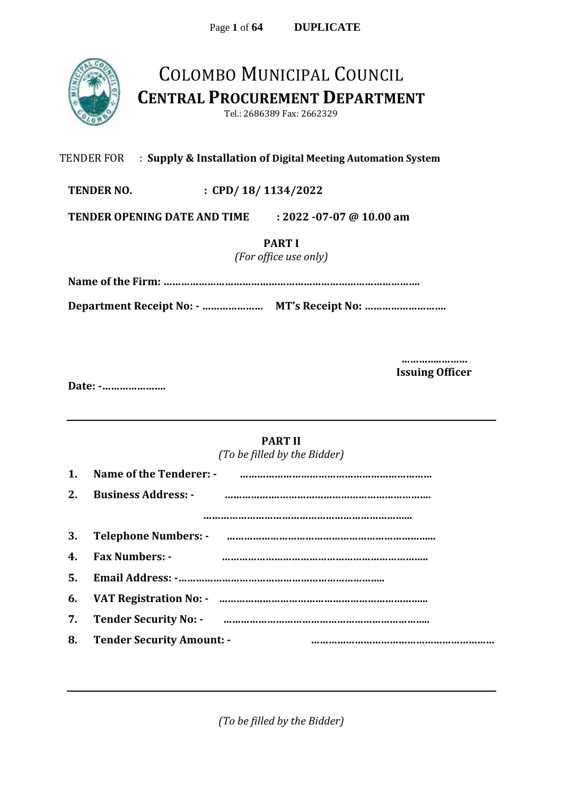

## COLOMBO MUNICIPAL COUNCIL **CENTRAL PROCUREMENT DEPARTMENT**

Tel.: 2686389 Fax: 2662329

#### TENDER FOR : **Supply & Installation of Digital Meeting Automation System**

**TENDER NO. : CPD/ 18/ 1134/2022**

**TENDER OPENING DATE AND TIME : 2022 -07-07 @ 10.00 am** 

**PART I**

*(For office use only)*

**Name of the Firm: …………………………………………………………………………….**

**Department Receipt No: - ………………… MT's Receipt No: ……………………….**

**…………..……… Issuing Officer**

**Date: -………………….**

#### **PART II**

*(To be filled by the Bidder)*

| 2. | <b>Business Address: -</b>                                       |
|----|------------------------------------------------------------------|
|    |                                                                  |
|    |                                                                  |
| 4. | <b>Fax Numbers: -</b>                                            |
|    |                                                                  |
| 6. | VAT Registration No: - manual manual manual manual manual manual |
| 7. |                                                                  |
| 8. | <b>Tender Security Amount: -</b>                                 |
|    |                                                                  |

*(To be filled by the Bidder)*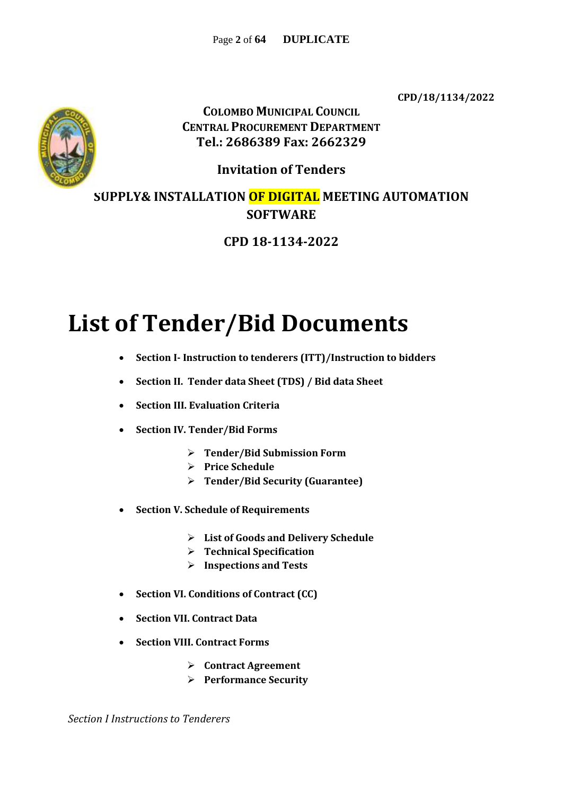**CPD/18/1134/2022**



**COLOMBO MUNICIPAL COUNCIL CENTRAL PROCUREMENT DEPARTMENT Tel.: 2686389 Fax: 2662329**

**Invitation of Tenders**

**SUPPLY& INSTALLATION OF DIGITAL MEETING AUTOMATION SOFTWARE**

### **CPD 18-1134-2022**

# **List of Tender/Bid Documents**

- **Section I- Instruction to tenderers (ITT)/Instruction to bidders**
- **Section II. Tender data Sheet (TDS) / Bid data Sheet**
- **Section III. Evaluation Criteria**
- **Section IV. Tender/Bid Forms**
	- **Tender/Bid Submission Form**
	- **Price Schedule**
	- **Tender/Bid Security (Guarantee)**
- **Section V. Schedule of Requirements**
	- **List of Goods and Delivery Schedule**
	- **Technical Specification**
	- **Inspections and Tests**
- **Section VI. Conditions of Contract (CC)**
- **Section VII. Contract Data**
- **Section VIII. Contract Forms**
	- **Contract Agreement**
	- **Performance Security**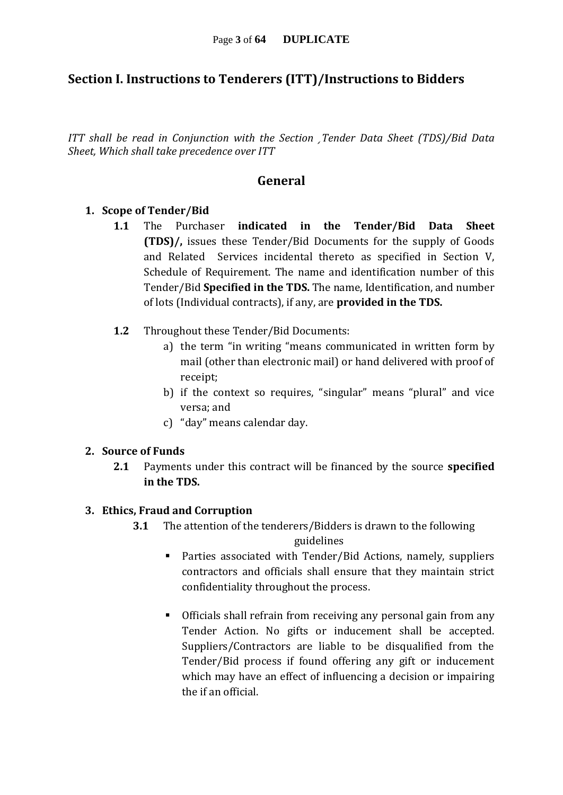#### **Section I. Instructions to Tenderers (ITT)/Instructions to Bidders**

*ITT shall be read in Conjunction with the Section ¸Tender Data Sheet (TDS)/Bid Data Sheet, Which shall take precedence over ITT*

#### **General**

#### **1. Scope of Tender/Bid**

- **1.1** The Purchaser **indicated in the Tender/Bid Data Sheet (TDS)/,** issues these Tender/Bid Documents for the supply of Goods and Related Services incidental thereto as specified in Section V, Schedule of Requirement. The name and identification number of this Tender/Bid **Specified in the TDS.** The name, Identification, and number of lots (Individual contracts), if any, are **provided in the TDS.**
- **1.2** Throughout these Tender/Bid Documents:
	- a) the term "in writing "means communicated in written form by mail (other than electronic mail) or hand delivered with proof of receipt;
	- b) if the context so requires, "singular" means "plural" and vice versa; and
	- c) "day" means calendar day.

#### **2. Source of Funds**

**2.1** Payments under this contract will be financed by the source **specified in the TDS.**

#### **3. Ethics, Fraud and Corruption**

- **3.1** The attention of the tenderers/Bidders is drawn to the following guidelines
	- Parties associated with Tender/Bid Actions, namely, suppliers contractors and officials shall ensure that they maintain strict confidentiality throughout the process.
	- Officials shall refrain from receiving any personal gain from any Tender Action. No gifts or inducement shall be accepted. Suppliers/Contractors are liable to be disqualified from the Tender/Bid process if found offering any gift or inducement which may have an effect of influencing a decision or impairing the if an official.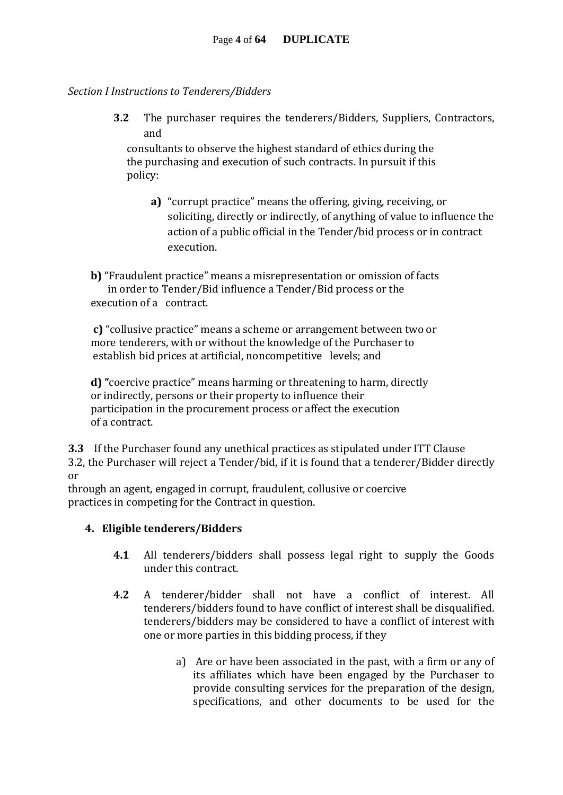#### *Section I Instructions to Tenderers/Bidders*

**3.2** The purchaser requires the tenderers/Bidders, Suppliers, Contractors, and

consultants to observe the highest standard of ethics during the the purchasing and execution of such contracts. In pursuit if this policy:

**a)** "corrupt practice" means the offering, giving, receiving, or soliciting, directly or indirectly, of anything of value to influence the action of a public official in the Tender/bid process or in contract execution.

**b)** "Fraudulent practice" means a misrepresentation or omission of facts in order to Tender/Bid influence a Tender/Bid process or the execution of a contract.

**c)** "collusive practice" means a scheme or arrangement between two or more tenderers, with or without the knowledge of the Purchaser to establish bid prices at artificial, noncompetitive levels; and

**d) "**coercive practice" means harming or threatening to harm, directly or indirectly, persons or their property to influence their participation in the procurement process or affect the execution of a contract.

**3.3** If the Purchaser found any unethical practices as stipulated under ITT Clause 3.2, the Purchaser will reject a Tender/bid, if it is found that a tenderer/Bidder directly or

through an agent, engaged in corrupt, fraudulent, collusive or coercive practices in competing for the Contract in question.

#### **4. Eligible tenderers/Bidders**

- **4.1** All tenderers/bidders shall possess legal right to supply the Goods under this contract.
- **4.2** A tenderer/bidder shall not have a conflict of interest. All tenderers/bidders found to have conflict of interest shall be disqualified. tenderers/bidders may be considered to have a conflict of interest with one or more parties in this bidding process, if they
	- a) Are or have been associated in the past, with a firm or any of its affiliates which have been engaged by the Purchaser to provide consulting services for the preparation of the design, specifications, and other documents to be used for the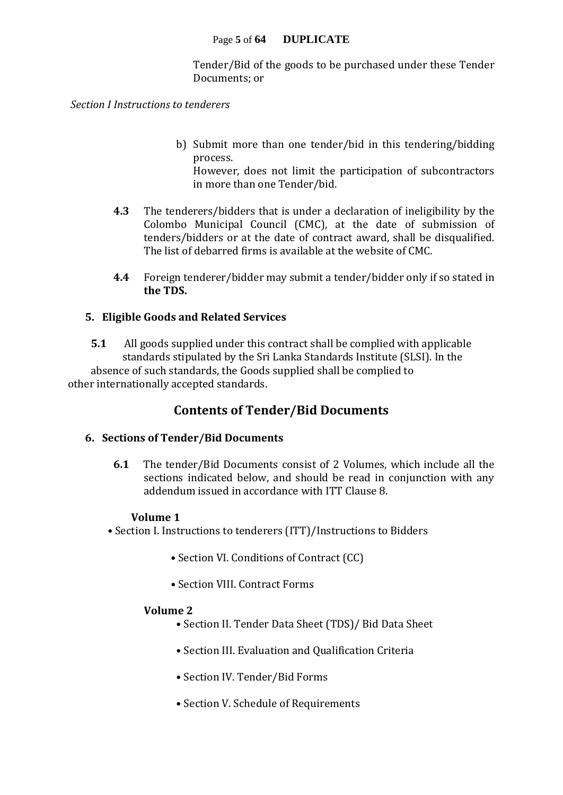Tender/Bid of the goods to be purchased under these Tender Documents; or

*Section I Instructions to tenderers* 

b) Submit more than one tender/bid in this tendering/bidding process.

However, does not limit the participation of subcontractors in more than one Tender/bid.

- **4.3** The tenderers/bidders that is under a declaration of ineligibility by the Colombo Municipal Council (CMC), at the date of submission of tenders/bidders or at the date of contract award, shall be disqualified. The list of debarred firms is available at the website of CMC.
- **4.4** Foreign tenderer/bidder may submit a tender/bidder only if so stated in **the TDS.**

#### **5. Eligible Goods and Related Services**

**5.1** All goods supplied under this contract shall be complied with applicable standards stipulated by the Sri Lanka Standards Institute (SLSI). In the absence of such standards, the Goods supplied shall be complied to other internationally accepted standards.

#### **Contents of Tender/Bid Documents**

#### **6. Sections of Tender/Bid Documents**

**6.1** The tender/Bid Documents consist of 2 Volumes, which include all the sections indicated below, and should be read in conjunction with any addendum issued in accordance with ITT Clause 8.

#### **Volume 1**

• Section I. Instructions to tenderers (ITT)/Instructions to Bidders

- Section VI. Conditions of Contract (CC)
- Section VIII. Contract Forms

#### **Volume 2**

- Section II. Tender Data Sheet (TDS)/ Bid Data Sheet
- Section III. Evaluation and Qualification Criteria
- Section IV. Tender/Bid Forms
- Section V. Schedule of Requirements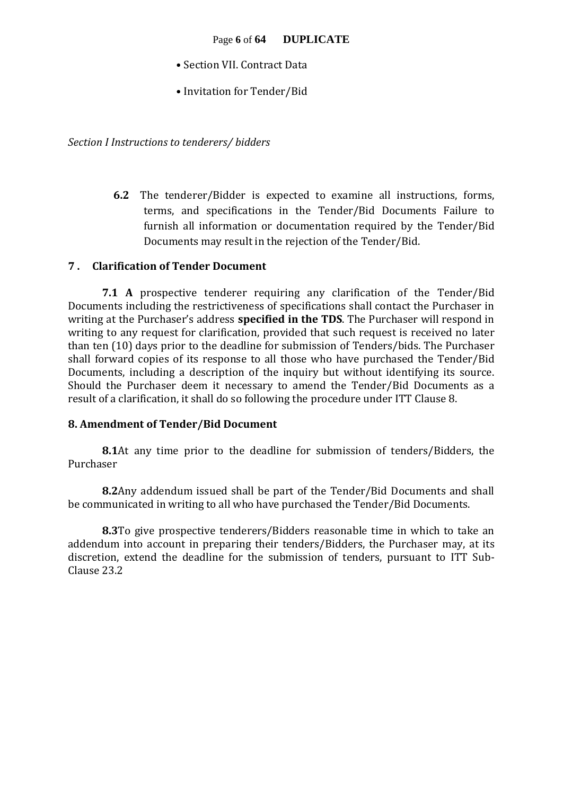- Section VII. Contract Data
- Invitation for Tender/Bid

*Section I Instructions to tenderers/ bidders*

**6.2** The tenderer/Bidder is expected to examine all instructions, forms, terms, and specifications in the Tender/Bid Documents Failure to furnish all information or documentation required by the Tender/Bid Documents may result in the rejection of the Tender/Bid.

#### **7 . Clarification of Tender Document**

**7.1 A** prospective tenderer requiring any clarification of the Tender/Bid Documents including the restrictiveness of specifications shall contact the Purchaser in writing at the Purchaser's address **specified in the TDS**. The Purchaser will respond in writing to any request for clarification, provided that such request is received no later than ten (10) days prior to the deadline for submission of Tenders/bids. The Purchaser shall forward copies of its response to all those who have purchased the Tender/Bid Documents, including a description of the inquiry but without identifying its source. Should the Purchaser deem it necessary to amend the Tender/Bid Documents as a result of a clarification, it shall do so following the procedure under ITT Clause 8.

#### **8. Amendment of Tender/Bid Document**

**8.1**At any time prior to the deadline for submission of tenders/Bidders, the Purchaser

**8.2**Any addendum issued shall be part of the Tender/Bid Documents and shall be communicated in writing to all who have purchased the Tender/Bid Documents.

**8.3**To give prospective tenderers/Bidders reasonable time in which to take an addendum into account in preparing their tenders/Bidders, the Purchaser may, at its discretion, extend the deadline for the submission of tenders, pursuant to ITT Sub-Clause 23.2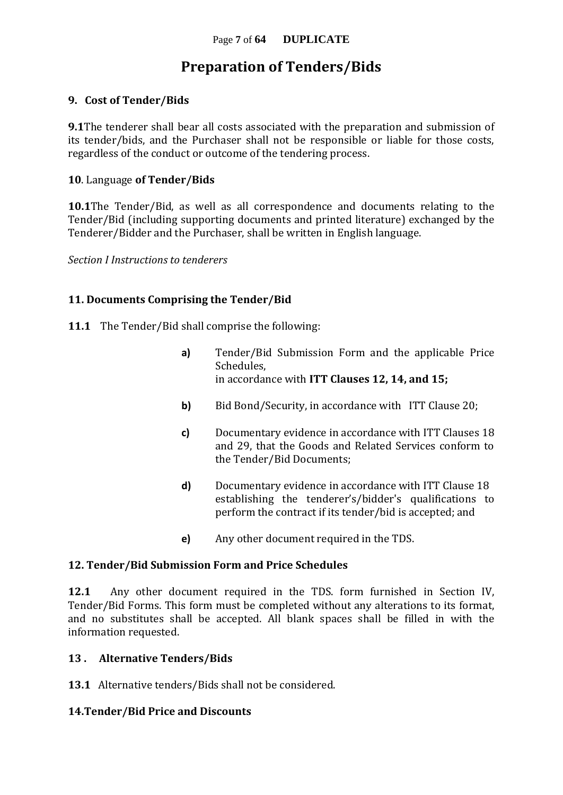### **Preparation of Tenders/Bids**

#### **9. Cost of Tender/Bids**

**9.1**The tenderer shall bear all costs associated with the preparation and submission of its tender/bids, and the Purchaser shall not be responsible or liable for those costs, regardless of the conduct or outcome of the tendering process.

#### **10**. Language **of Tender/Bids**

**10.1**The Tender/Bid, as well as all correspondence and documents relating to the Tender/Bid (including supporting documents and printed literature) exchanged by the Tenderer/Bidder and the Purchaser, shall be written in English language.

*Section I Instructions to tenderers*

#### **11. Documents Comprising the Tender/Bid**

- **11.1** The Tender/Bid shall comprise the following:
	- **a)** Tender/Bid Submission Form and the applicable Price Schedules, in accordance with **ITT Clauses 12, 14, and 15;**
	- **b)** Bid Bond/Security, in accordance with ITT Clause 20;
	- **c)** Documentary evidence in accordance with ITT Clauses 18 and 29, that the Goods and Related Services conform to the Tender/Bid Documents;
	- **d)** Documentary evidence in accordance with ITT Clause 18 establishing the tenderer's/bidder's qualifications to perform the contract if its tender/bid is accepted; and
	- **e)** Any other document required in the TDS.

#### **12. Tender/Bid Submission Form and Price Schedules**

**12.1** Any other document required in the TDS. form furnished in Section IV, Tender/Bid Forms. This form must be completed without any alterations to its format, and no substitutes shall be accepted. All blank spaces shall be filled in with the information requested.

#### **13 . Alternative Tenders/Bids**

**13.1** Alternative tenders/Bids shall not be considered.

#### **14.Tender/Bid Price and Discounts**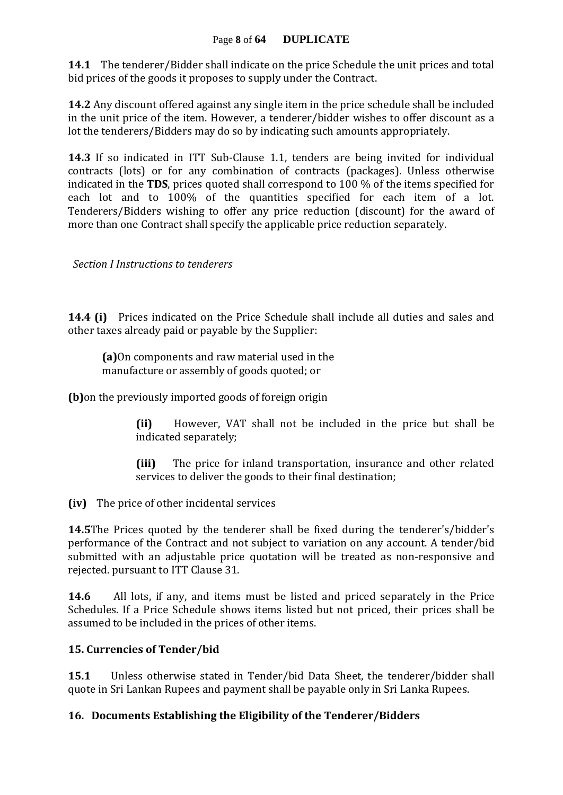#### Page **8** of **64 DUPLICATE**

**14.1** The tenderer/Bidder shall indicate on the price Schedule the unit prices and total bid prices of the goods it proposes to supply under the Contract.

**14.2** Any discount offered against any single item in the price schedule shall be included in the unit price of the item. However, a tenderer/bidder wishes to offer discount as a lot the tenderers/Bidders may do so by indicating such amounts appropriately.

**14.3** If so indicated in ITT Sub-Clause 1.1, tenders are being invited for individual contracts (lots) or for any combination of contracts (packages). Unless otherwise indicated in the **TDS**, prices quoted shall correspond to 100 % of the items specified for each lot and to 100% of the quantities specified for each item of a lot. Tenderers/Bidders wishing to offer any price reduction (discount) for the award of more than one Contract shall specify the applicable price reduction separately.

 *Section I Instructions to tenderers*

**14.4 (i)** Prices indicated on the Price Schedule shall include all duties and sales and other taxes already paid or payable by the Supplier:

**(a)**On components and raw material used in the manufacture or assembly of goods quoted; or

**(b)**on the previously imported goods of foreign origin

**(ii)** However, VAT shall not be included in the price but shall be indicated separately;

**(iii)** The price for inland transportation, insurance and other related services to deliver the goods to their final destination;

**(iv)** The price of other incidental services

**14.5**The Prices quoted by the tenderer shall be fixed during the tenderer's/bidder's performance of the Contract and not subject to variation on any account. A tender/bid submitted with an adjustable price quotation will be treated as non-responsive and rejected. pursuant to ITT Clause 31.

**14.6** All lots, if any, and items must be listed and priced separately in the Price Schedules. If a Price Schedule shows items listed but not priced, their prices shall be assumed to be included in the prices of other items.

#### **15. Currencies of Tender/bid**

**15.1** Unless otherwise stated in Tender/bid Data Sheet, the tenderer/bidder shall quote in Sri Lankan Rupees and payment shall be payable only in Sri Lanka Rupees.

#### **16. Documents Establishing the Eligibility of the Tenderer/Bidders**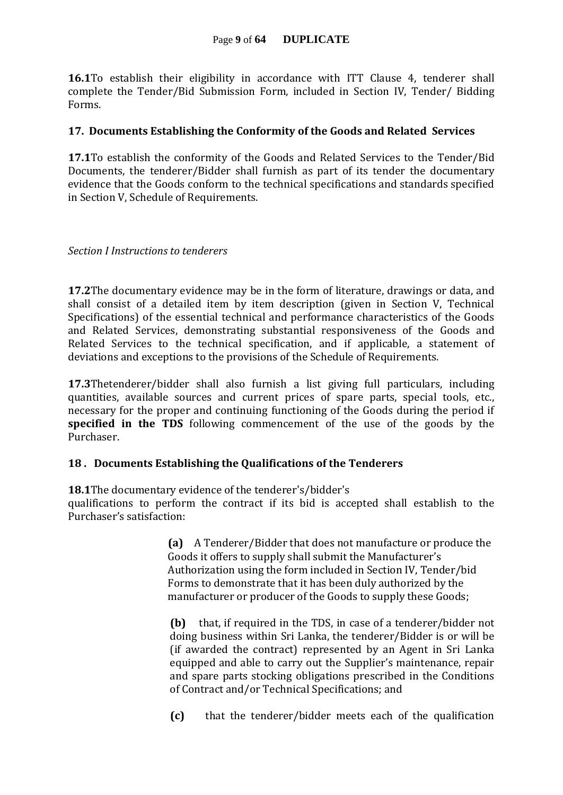#### Page **9** of **64 DUPLICATE**

**16.1**To establish their eligibility in accordance with ITT Clause 4, tenderer shall complete the Tender/Bid Submission Form, included in Section IV, Tender/ Bidding Forms.

#### **17. Documents Establishing the Conformity of the Goods and Related Services**

**17.1**To establish the conformity of the Goods and Related Services to the Tender/Bid Documents, the tenderer/Bidder shall furnish as part of its tender the documentary evidence that the Goods conform to the technical specifications and standards specified in Section V, Schedule of Requirements.

#### *Section I Instructions to tenderers*

**17.2**The documentary evidence may be in the form of literature, drawings or data, and shall consist of a detailed item by item description (given in Section V, Technical Specifications) of the essential technical and performance characteristics of the Goods and Related Services, demonstrating substantial responsiveness of the Goods and Related Services to the technical specification, and if applicable, a statement of deviations and exceptions to the provisions of the Schedule of Requirements.

**17.3**Thetenderer/bidder shall also furnish a list giving full particulars, including quantities, available sources and current prices of spare parts, special tools, etc., necessary for the proper and continuing functioning of the Goods during the period if **specified in the TDS** following commencement of the use of the goods by the Purchaser.

#### **18 . Documents Establishing the Qualifications of the Tenderers**

**18.1**The documentary evidence of the tenderer's/bidder's

qualifications to perform the contract if its bid is accepted shall establish to the Purchaser's satisfaction:

> **(a)** A Tenderer/Bidder that does not manufacture or produce the Goods it offers to supply shall submit the Manufacturer's Authorization using the form included in Section IV, Tender/bid Forms to demonstrate that it has been duly authorized by the manufacturer or producer of the Goods to supply these Goods;

> **(b)** that, if required in the TDS, in case of a tenderer/bidder not doing business within Sri Lanka, the tenderer/Bidder is or will be (if awarded the contract) represented by an Agent in Sri Lanka equipped and able to carry out the Supplier's maintenance, repair and spare parts stocking obligations prescribed in the Conditions of Contract and/or Technical Specifications; and

> **(c)** that the tenderer/bidder meets each of the qualification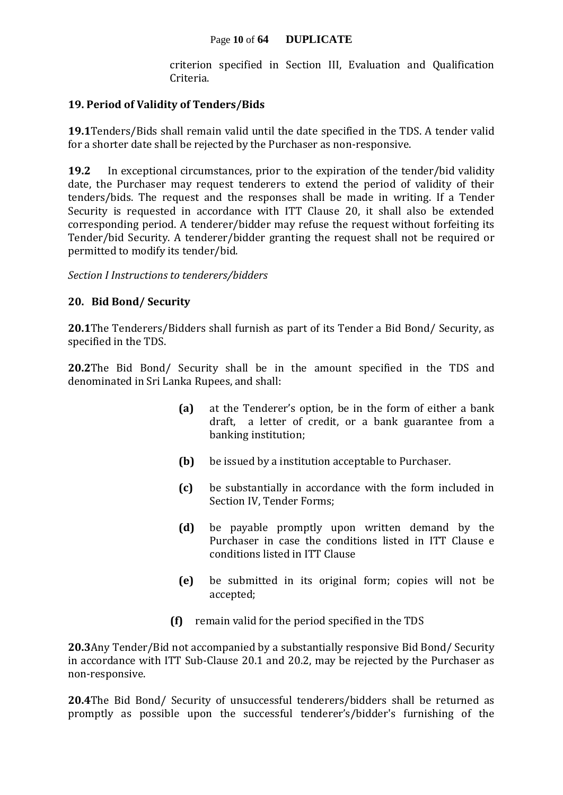criterion specified in Section III, Evaluation and Qualification Criteria.

#### **19. Period of Validity of Tenders/Bids**

**19.1**Tenders/Bids shall remain valid until the date specified in the TDS. A tender valid for a shorter date shall be rejected by the Purchaser as non-responsive.

**19.2** In exceptional circumstances, prior to the expiration of the tender/bid validity date, the Purchaser may request tenderers to extend the period of validity of their tenders/bids. The request and the responses shall be made in writing. If a Tender Security is requested in accordance with ITT Clause 20, it shall also be extended corresponding period. A tenderer/bidder may refuse the request without forfeiting its Tender/bid Security. A tenderer/bidder granting the request shall not be required or permitted to modify its tender/bid.

*Section I Instructions to tenderers/bidders*

#### **20. Bid Bond/ Security**

**20.1**The Tenderers/Bidders shall furnish as part of its Tender a Bid Bond/ Security, as specified in the TDS.

**20.2**The Bid Bond/ Security shall be in the amount specified in the TDS and denominated in Sri Lanka Rupees, and shall:

- **(a)** at the Tenderer's option, be in the form of either a bank draft, a letter of credit, or a bank guarantee from a banking institution;
- **(b)** be issued by a institution acceptable to Purchaser.
- **(c)** be substantially in accordance with the form included in Section IV, Tender Forms;
- **(d)** be payable promptly upon written demand by the Purchaser in case the conditions listed in ITT Clause e conditions listed in ITT Clause
- **(e)** be submitted in its original form; copies will not be accepted;
- **(f)** remain valid for the period specified in the TDS

**20.3**Any Tender/Bid not accompanied by a substantially responsive Bid Bond/ Security in accordance with ITT Sub-Clause 20.1 and 20.2, may be rejected by the Purchaser as non-responsive.

**20.4**The Bid Bond/ Security of unsuccessful tenderers/bidders shall be returned as promptly as possible upon the successful tenderer's/bidder's furnishing of the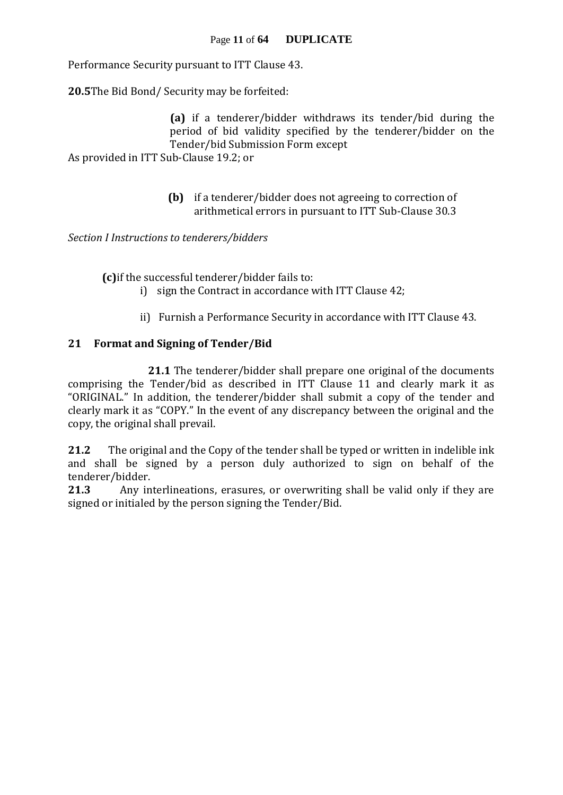Performance Security pursuant to ITT Clause 43.

**20.5**The Bid Bond/ Security may be forfeited:

**(a)** if a tenderer/bidder withdraws its tender/bid during the period of bid validity specified by the tenderer/bidder on the Tender/bid Submission Form except As provided in ITT Sub-Clause 19.2; or

> **(b)** if a tenderer/bidder does not agreeing to correction of arithmetical errors in pursuant to ITT Sub-Clause 30.3

*Section I Instructions to tenderers/bidders*

**(c)**if the successful tenderer/bidder fails to:

- i) sign the Contract in accordance with ITT Clause 42;
- ii) Furnish a Performance Security in accordance with ITT Clause 43.

#### **21 Format and Signing of Tender/Bid**

**21.1** The tenderer/bidder shall prepare one original of the documents comprising the Tender/bid as described in ITT Clause 11 and clearly mark it as "ORIGINAL." In addition, the tenderer/bidder shall submit a copy of the tender and clearly mark it as "COPY." In the event of any discrepancy between the original and the copy, the original shall prevail.

**21.2** The original and the Copy of the tender shall be typed or written in indelible ink and shall be signed by a person duly authorized to sign on behalf of the tenderer/bidder.

**21.3** Any interlineations, erasures, or overwriting shall be valid only if they are signed or initialed by the person signing the Tender/Bid.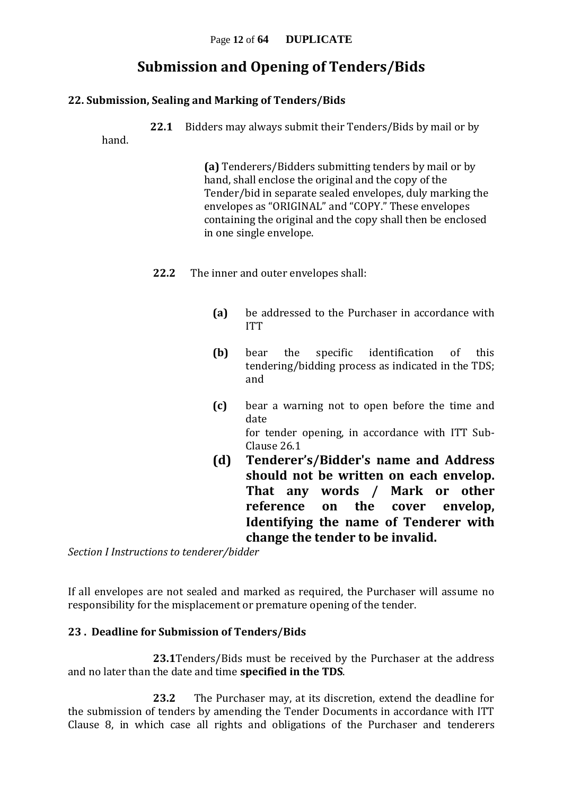### **Submission and Opening of Tenders/Bids**

#### **22. Submission, Sealing and Marking of Tenders/Bids**

**22.1** Bidders may always submit their Tenders/Bids by mail or by

hand.

**(a)** Tenderers/Bidders submitting tenders by mail or by hand, shall enclose the original and the copy of the Tender/bid in separate sealed envelopes, duly marking the envelopes as "ORIGINAL" and "COPY." These envelopes containing the original and the copy shall then be enclosed in one single envelope.

- **22.2** The inner and outer envelopes shall:
	- **(a)** be addressed to the Purchaser in accordance with ITT
	- **(b)** bear the specific identification of this tendering/bidding process as indicated in the TDS; and
	- **(c)** bear a warning not to open before the time and date for tender opening, in accordance with ITT Sub-Clause 26.1
	- **(d) Tenderer's/Bidder's name and Address should not be written on each envelop. That any words / Mark or other reference on the cover envelop, Identifying the name of Tenderer with change the tender to be invalid.**

*Section I Instructions to tenderer/bidder*

If all envelopes are not sealed and marked as required, the Purchaser will assume no responsibility for the misplacement or premature opening of the tender.

#### **23 . Deadline for Submission of Tenders/Bids**

**23.1**Tenders/Bids must be received by the Purchaser at the address and no later than the date and time **specified in the TDS**.

**23.2** The Purchaser may, at its discretion, extend the deadline for the submission of tenders by amending the Tender Documents in accordance with ITT Clause 8, in which case all rights and obligations of the Purchaser and tenderers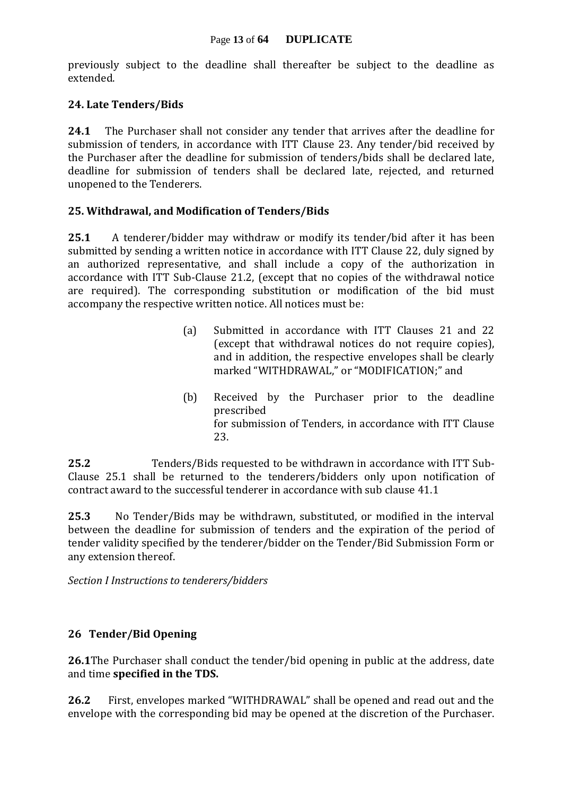previously subject to the deadline shall thereafter be subject to the deadline as extended.

#### **24. Late Tenders/Bids**

**24.1** The Purchaser shall not consider any tender that arrives after the deadline for submission of tenders, in accordance with ITT Clause 23. Any tender/bid received by the Purchaser after the deadline for submission of tenders/bids shall be declared late, deadline for submission of tenders shall be declared late, rejected, and returned unopened to the Tenderers.

#### **25. Withdrawal, and Modification of Tenders/Bids**

**25.1** A tenderer/bidder may withdraw or modify its tender/bid after it has been submitted by sending a written notice in accordance with ITT Clause 22, duly signed by an authorized representative, and shall include a copy of the authorization in accordance with ITT Sub-Clause 21.2, (except that no copies of the withdrawal notice are required). The corresponding substitution or modification of the bid must accompany the respective written notice. All notices must be:

- (a) Submitted in accordance with ITT Clauses 21 and 22 (except that withdrawal notices do not require copies), and in addition, the respective envelopes shall be clearly marked "WITHDRAWAL," or "MODIFICATION;" and
- (b) Received by the Purchaser prior to the deadline prescribed for submission of Tenders, in accordance with ITT Clause 23.

**25.2** Tenders/Bids requested to be withdrawn in accordance with ITT Sub-Clause 25.1 shall be returned to the tenderers/bidders only upon notification of contract award to the successful tenderer in accordance with sub clause 41.1

**25.3** No Tender/Bids may be withdrawn, substituted, or modified in the interval between the deadline for submission of tenders and the expiration of the period of tender validity specified by the tenderer/bidder on the Tender/Bid Submission Form or any extension thereof.

*Section I Instructions to tenderers/bidders*

#### **26 Tender/Bid Opening**

**26.1**The Purchaser shall conduct the tender/bid opening in public at the address, date and time **specified in the TDS.**

**26.2** First, envelopes marked "WITHDRAWAL" shall be opened and read out and the envelope with the corresponding bid may be opened at the discretion of the Purchaser.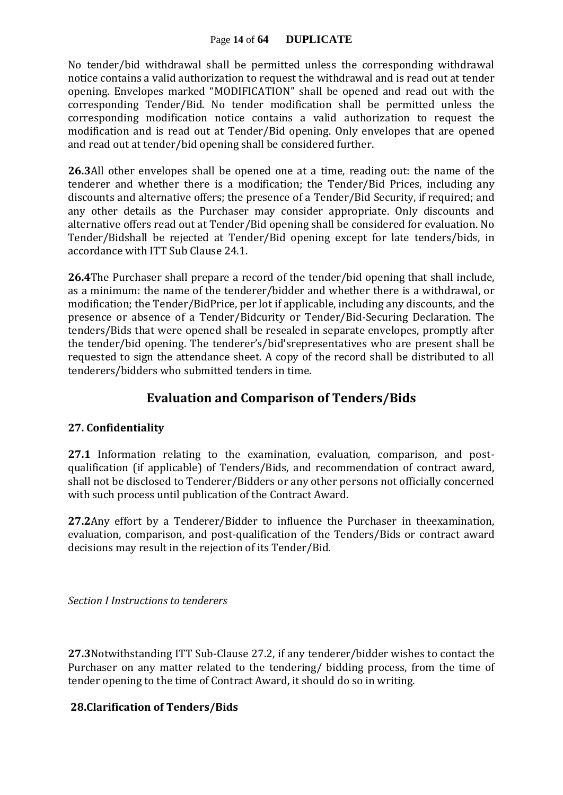#### Page **14** of **64 DUPLICATE**

No tender/bid withdrawal shall be permitted unless the corresponding withdrawal notice contains a valid authorization to request the withdrawal and is read out at tender opening. Envelopes marked "MODIFICATION" shall be opened and read out with the corresponding Tender/Bid. No tender modification shall be permitted unless the corresponding modification notice contains a valid authorization to request the modification and is read out at Tender/Bid opening. Only envelopes that are opened and read out at tender/bid opening shall be considered further.

**26.3**All other envelopes shall be opened one at a time, reading out: the name of the tenderer and whether there is a modification; the Tender/Bid Prices, including any discounts and alternative offers; the presence of a Tender/Bid Security, if required; and any other details as the Purchaser may consider appropriate. Only discounts and alternative offers read out at Tender/Bid opening shall be considered for evaluation. No Tender/Bidshall be rejected at Tender/Bid opening except for late tenders/bids, in accordance with ITT Sub Clause 24.1.

**26.4**The Purchaser shall prepare a record of the tender/bid opening that shall include, as a minimum: the name of the tenderer/bidder and whether there is a withdrawal, or modification; the Tender/BidPrice, per lot if applicable, including any discounts, and the presence or absence of a Tender/Bidcurity or Tender/Bid-Securing Declaration. The tenders/Bids that were opened shall be resealed in separate envelopes, promptly after the tender/bid opening. The tenderer's/bid'srepresentatives who are present shall be requested to sign the attendance sheet. A copy of the record shall be distributed to all tenderers/bidders who submitted tenders in time.

#### **Evaluation and Comparison of Tenders/Bids**

#### **27. Confidentiality**

**27.1** Information relating to the examination, evaluation, comparison, and postqualification (if applicable) of Tenders/Bids, and recommendation of contract award, shall not be disclosed to Tenderer/Bidders or any other persons not officially concerned with such process until publication of the Contract Award.

**27.2**Any effort by a Tenderer/Bidder to influence the Purchaser in theexamination, evaluation, comparison, and post-qualification of the Tenders/Bids or contract award decisions may result in the rejection of its Tender/Bid.

*Section I Instructions to tenderers*

**27.3**Notwithstanding ITT Sub-Clause 27.2, if any tenderer/bidder wishes to contact the Purchaser on any matter related to the tendering/ bidding process, from the time of tender opening to the time of Contract Award, it should do so in writing.

#### **28.Clarification of Tenders/Bids**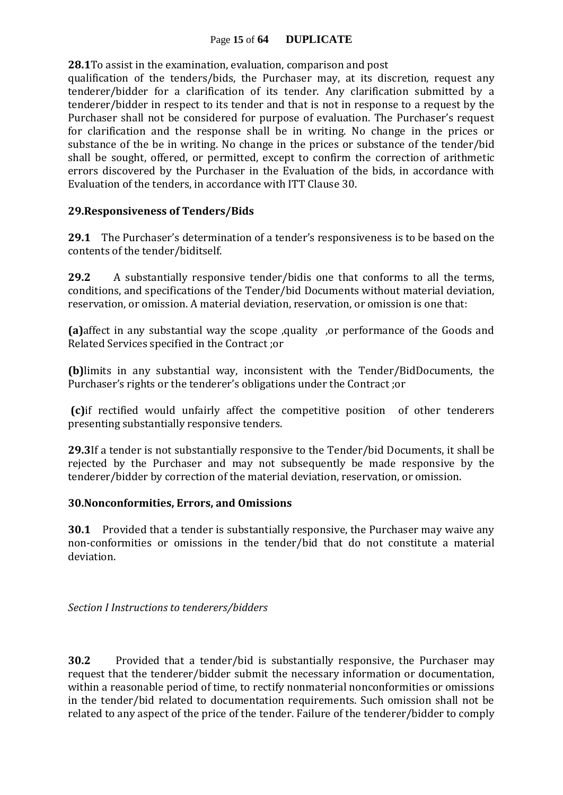#### Page **15** of **64 DUPLICATE**

**28.1**To assist in the examination, evaluation, comparison and post

qualification of the tenders/bids, the Purchaser may, at its discretion, request any tenderer/bidder for a clarification of its tender. Any clarification submitted by a tenderer/bidder in respect to its tender and that is not in response to a request by the Purchaser shall not be considered for purpose of evaluation. The Purchaser's request for clarification and the response shall be in writing. No change in the prices or substance of the be in writing. No change in the prices or substance of the tender/bid shall be sought, offered, or permitted, except to confirm the correction of arithmetic errors discovered by the Purchaser in the Evaluation of the bids, in accordance with Evaluation of the tenders, in accordance with ITT Clause 30.

#### **29.Responsiveness of Tenders/Bids**

**29.1** The Purchaser's determination of a tender's responsiveness is to be based on the contents of the tender/biditself.

**29.2** A substantially responsive tender/bidis one that conforms to all the terms, conditions, and specifications of the Tender/bid Documents without material deviation, reservation, or omission. A material deviation, reservation, or omission is one that:

**(a)**affect in any substantial way the scope ,quality ,or performance of the Goods and Related Services specified in the Contract ;or

**(b)**limits in any substantial way, inconsistent with the Tender/BidDocuments, the Purchaser's rights or the tenderer's obligations under the Contract ;or

**(c)**if rectified would unfairly affect the competitive position of other tenderers presenting substantially responsive tenders.

**29.3**If a tender is not substantially responsive to the Tender/bid Documents, it shall be rejected by the Purchaser and may not subsequently be made responsive by the tenderer/bidder by correction of the material deviation, reservation, or omission.

#### **30.Nonconformities, Errors, and Omissions**

**30.1** Provided that a tender is substantially responsive, the Purchaser may waive any non-conformities or omissions in the tender/bid that do not constitute a material deviation.

*Section I Instructions to tenderers/bidders*

**30.2** Provided that a tender/bid is substantially responsive, the Purchaser may request that the tenderer/bidder submit the necessary information or documentation, within a reasonable period of time, to rectify nonmaterial nonconformities or omissions in the tender/bid related to documentation requirements. Such omission shall not be related to any aspect of the price of the tender. Failure of the tenderer/bidder to comply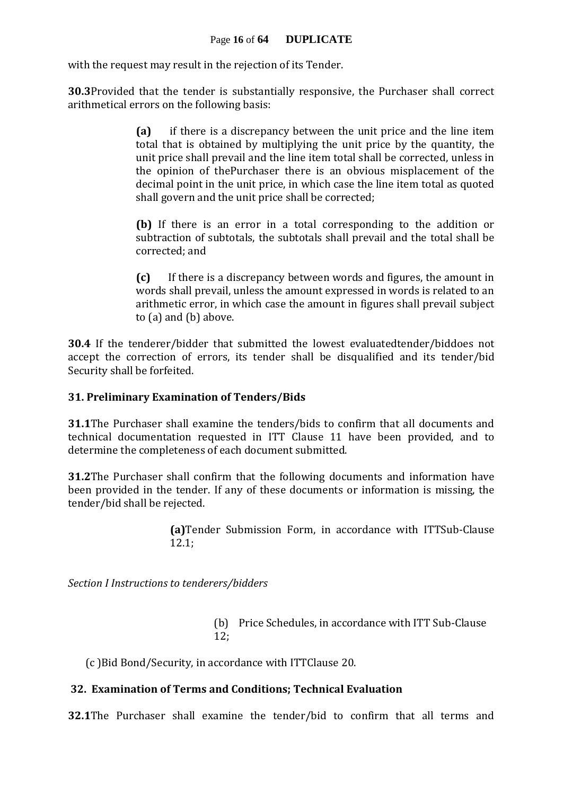with the request may result in the rejection of its Tender.

**30.3**Provided that the tender is substantially responsive, the Purchaser shall correct arithmetical errors on the following basis:

> **(a)** if there is a discrepancy between the unit price and the line item total that is obtained by multiplying the unit price by the quantity, the unit price shall prevail and the line item total shall be corrected, unless in the opinion of thePurchaser there is an obvious misplacement of the decimal point in the unit price, in which case the line item total as quoted shall govern and the unit price shall be corrected;

> **(b)** If there is an error in a total corresponding to the addition or subtraction of subtotals, the subtotals shall prevail and the total shall be corrected; and

> **(c)** If there is a discrepancy between words and figures, the amount in words shall prevail, unless the amount expressed in words is related to an arithmetic error, in which case the amount in figures shall prevail subject to (a) and (b) above.

**30.4** If the tenderer/bidder that submitted the lowest evaluatedtender/biddoes not accept the correction of errors, its tender shall be disqualified and its tender/bid Security shall be forfeited.

#### **31. Preliminary Examination of Tenders/Bids**

**31.1**The Purchaser shall examine the tenders/bids to confirm that all documents and technical documentation requested in ITT Clause 11 have been provided, and to determine the completeness of each document submitted.

**31.2**The Purchaser shall confirm that the following documents and information have been provided in the tender. If any of these documents or information is missing, the tender/bid shall be rejected.

> **(a)**Tender Submission Form, in accordance with ITTSub-Clause 12.1;

*Section I Instructions to tenderers/bidders*

(b) Price Schedules, in accordance with ITT Sub-Clause 12;

(c )Bid Bond/Security, in accordance with ITTClause 20.

#### **32. Examination of Terms and Conditions; Technical Evaluation**

**32.1**The Purchaser shall examine the tender/bid to confirm that all terms and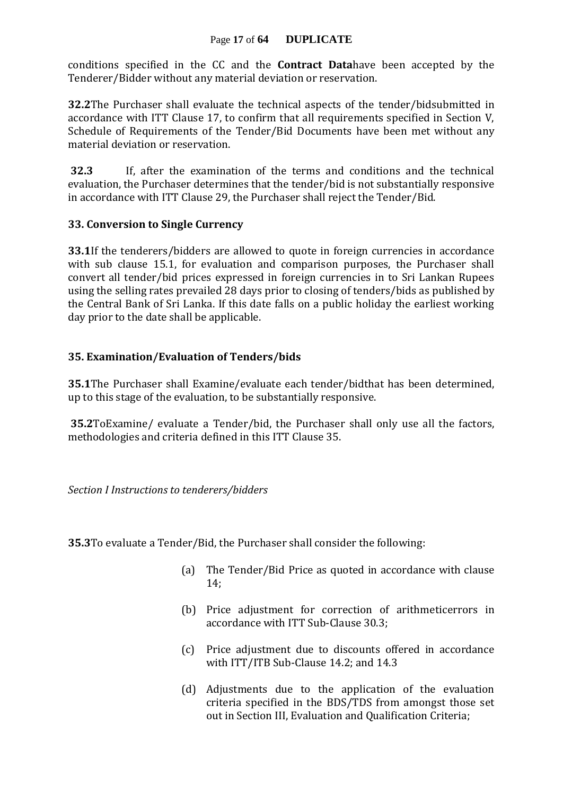#### Page **17** of **64 DUPLICATE**

conditions specified in the CC and the **Contract Data**have been accepted by the Tenderer/Bidder without any material deviation or reservation.

**32.2**The Purchaser shall evaluate the technical aspects of the tender/bidsubmitted in accordance with ITT Clause 17, to confirm that all requirements specified in Section V, Schedule of Requirements of the Tender/Bid Documents have been met without any material deviation or reservation.

**32.3** If, after the examination of the terms and conditions and the technical evaluation, the Purchaser determines that the tender/bid is not substantially responsive in accordance with ITT Clause 29, the Purchaser shall reject the Tender/Bid.

#### **33. Conversion to Single Currency**

**33.1**If the tenderers/bidders are allowed to quote in foreign currencies in accordance with sub clause 15.1, for evaluation and comparison purposes, the Purchaser shall convert all tender/bid prices expressed in foreign currencies in to Sri Lankan Rupees using the selling rates prevailed 28 days prior to closing of tenders/bids as published by the Central Bank of Sri Lanka. If this date falls on a public holiday the earliest working day prior to the date shall be applicable.

#### **35. Examination/Evaluation of Tenders/bids**

**35.1**The Purchaser shall Examine/evaluate each tender/bidthat has been determined, up to this stage of the evaluation, to be substantially responsive.

**35.2**ToExamine/ evaluate a Tender/bid, the Purchaser shall only use all the factors, methodologies and criteria defined in this ITT Clause 35.

*Section I Instructions to tenderers/bidders*

**35.3**To evaluate a Tender/Bid, the Purchaser shall consider the following:

- (a) The Tender/Bid Price as quoted in accordance with clause 14;
- (b) Price adjustment for correction of arithmeticerrors in accordance with ITT Sub-Clause 30.3;
- (c) Price adjustment due to discounts offered in accordance with ITT/ITB Sub-Clause 14.2; and 14.3
- (d) Adjustments due to the application of the evaluation criteria specified in the BDS/TDS from amongst those set out in Section III, Evaluation and Qualification Criteria;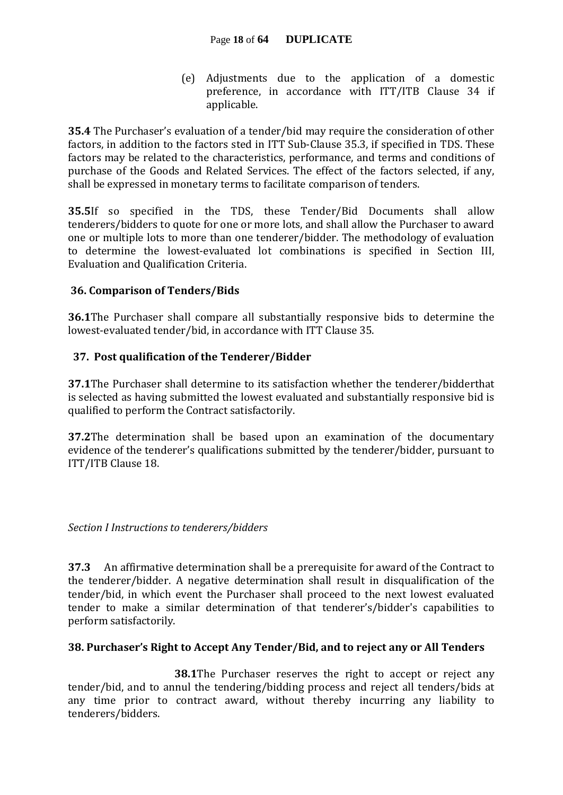(e) Adjustments due to the application of a domestic preference, in accordance with ITT/ITB Clause 34 if applicable.

**35.4** The Purchaser's evaluation of a tender/bid may require the consideration of other factors, in addition to the factors sted in ITT Sub-Clause 35.3, if specified in TDS. These factors may be related to the characteristics, performance, and terms and conditions of purchase of the Goods and Related Services. The effect of the factors selected, if any, shall be expressed in monetary terms to facilitate comparison of tenders.

**35.5**If so specified in the TDS, these Tender/Bid Documents shall allow tenderers/bidders to quote for one or more lots, and shall allow the Purchaser to award one or multiple lots to more than one tenderer/bidder. The methodology of evaluation to determine the lowest-evaluated lot combinations is specified in Section III, Evaluation and Qualification Criteria.

#### **36. Comparison of Tenders/Bids**

**36.1**The Purchaser shall compare all substantially responsive bids to determine the lowest-evaluated tender/bid, in accordance with ITT Clause 35.

#### **37. Post qualification of the Tenderer/Bidder**

**37.1**The Purchaser shall determine to its satisfaction whether the tenderer/bidderthat is selected as having submitted the lowest evaluated and substantially responsive bid is qualified to perform the Contract satisfactorily.

**37.2**The determination shall be based upon an examination of the documentary evidence of the tenderer's qualifications submitted by the tenderer/bidder, pursuant to ITT/ITB Clause 18.

*Section I Instructions to tenderers/bidders*

**37.3** An affirmative determination shall be a prerequisite for award of the Contract to the tenderer/bidder. A negative determination shall result in disqualification of the tender/bid, in which event the Purchaser shall proceed to the next lowest evaluated tender to make a similar determination of that tenderer's/bidder's capabilities to perform satisfactorily.

#### **38. Purchaser's Right to Accept Any Tender/Bid, and to reject any or All Tenders**

 **38.1**The Purchaser reserves the right to accept or reject any tender/bid, and to annul the tendering/bidding process and reject all tenders/bids at any time prior to contract award, without thereby incurring any liability to tenderers/bidders.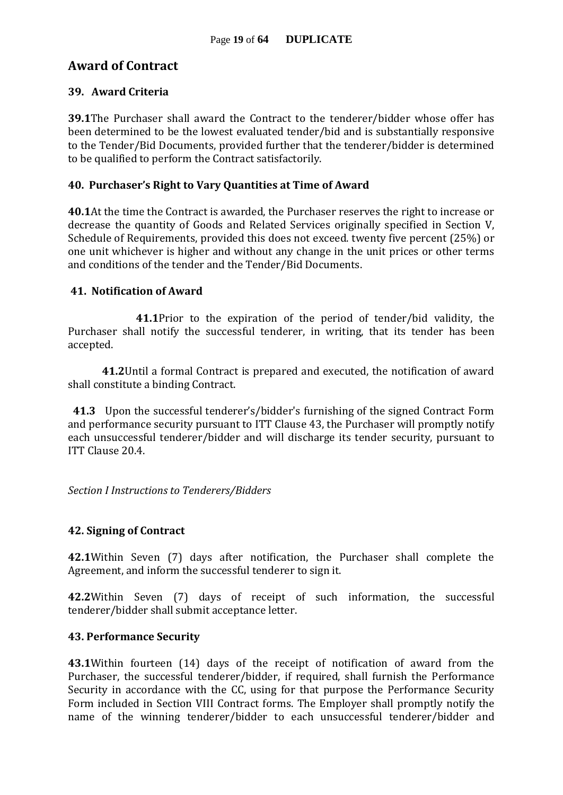#### **Award of Contract**

#### **39. Award Criteria**

**39.1**The Purchaser shall award the Contract to the tenderer/bidder whose offer has been determined to be the lowest evaluated tender/bid and is substantially responsive to the Tender/Bid Documents, provided further that the tenderer/bidder is determined to be qualified to perform the Contract satisfactorily.

#### **40. Purchaser's Right to Vary Quantities at Time of Award**

**40.1**At the time the Contract is awarded, the Purchaser reserves the right to increase or decrease the quantity of Goods and Related Services originally specified in Section V, Schedule of Requirements, provided this does not exceed. twenty five percent (25%) or one unit whichever is higher and without any change in the unit prices or other terms and conditions of the tender and the Tender/Bid Documents.

#### **41. Notification of Award**

**41.1**Prior to the expiration of the period of tender/bid validity, the Purchaser shall notify the successful tenderer, in writing, that its tender has been accepted.

**41.2**Until a formal Contract is prepared and executed, the notification of award shall constitute a binding Contract.

 **41.3** Upon the successful tenderer's/bidder's furnishing of the signed Contract Form and performance security pursuant to ITT Clause 43, the Purchaser will promptly notify each unsuccessful tenderer/bidder and will discharge its tender security, pursuant to ITT Clause 20.4.

*Section I Instructions to Tenderers/Bidders*

#### **42. Signing of Contract**

**42.1**Within Seven (7) days after notification, the Purchaser shall complete the Agreement, and inform the successful tenderer to sign it.

**42.2**Within Seven (7) days of receipt of such information, the successful tenderer/bidder shall submit acceptance letter.

#### **43. Performance Security**

**43.1**Within fourteen (14) days of the receipt of notification of award from the Purchaser, the successful tenderer/bidder, if required, shall furnish the Performance Security in accordance with the CC, using for that purpose the Performance Security Form included in Section VIII Contract forms. The Employer shall promptly notify the name of the winning tenderer/bidder to each unsuccessful tenderer/bidder and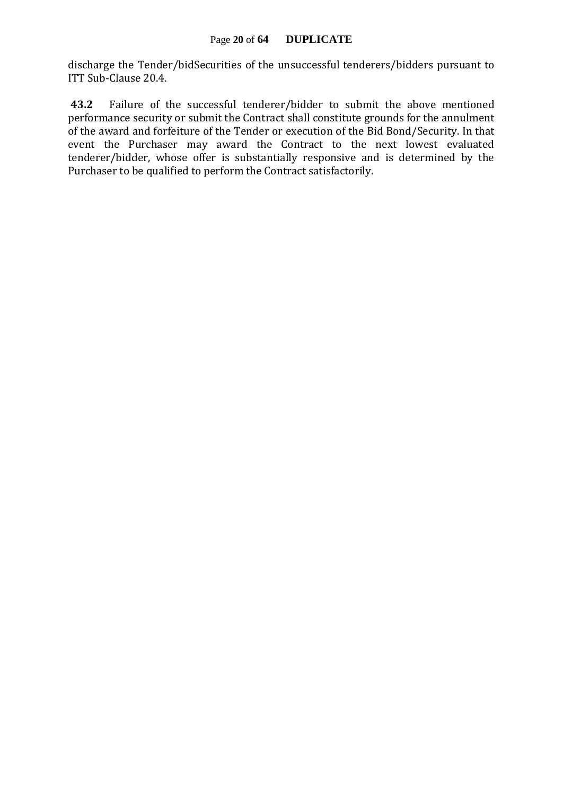discharge the Tender/bidSecurities of the unsuccessful tenderers/bidders pursuant to ITT Sub-Clause 20.4.

**43.2** Failure of the successful tenderer/bidder to submit the above mentioned performance security or submit the Contract shall constitute grounds for the annulment of the award and forfeiture of the Tender or execution of the Bid Bond/Security. In that event the Purchaser may award the Contract to the next lowest evaluated tenderer/bidder, whose offer is substantially responsive and is determined by the Purchaser to be qualified to perform the Contract satisfactorily.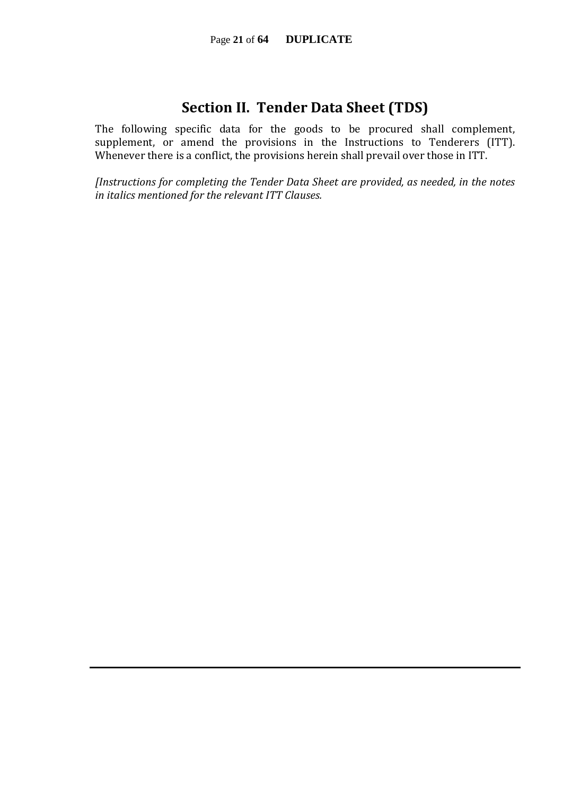### **Section II. Tender Data Sheet (TDS)**

The following specific data for the goods to be procured shall complement, supplement, or amend the provisions in the Instructions to Tenderers (ITT). Whenever there is a conflict, the provisions herein shall prevail over those in ITT.

*[Instructions for completing the Tender Data Sheet are provided, as needed, in the notes in italics mentioned for the relevant ITT Clauses.*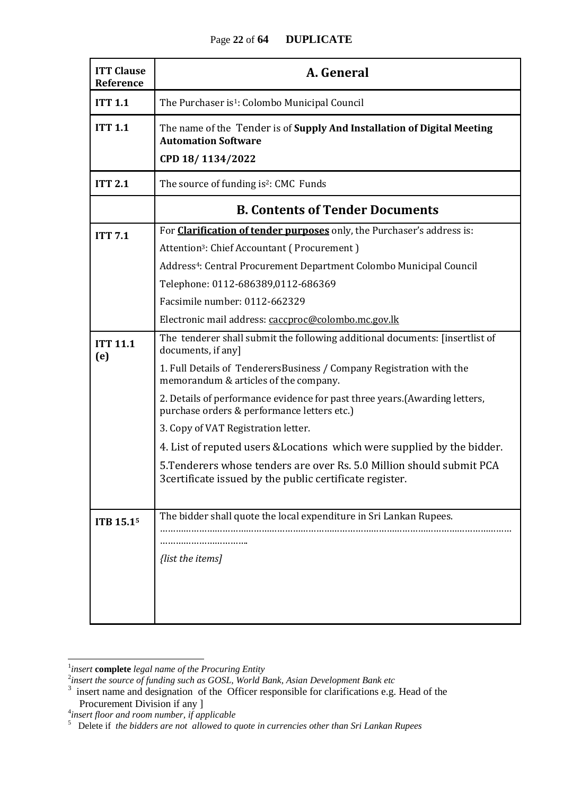| <b>ITT Clause</b><br>Reference | A. General                                                                                                                                                                                                                                                                                                                                                                                                                                                                                                                                                                                               |  |  |  |  |  |
|--------------------------------|----------------------------------------------------------------------------------------------------------------------------------------------------------------------------------------------------------------------------------------------------------------------------------------------------------------------------------------------------------------------------------------------------------------------------------------------------------------------------------------------------------------------------------------------------------------------------------------------------------|--|--|--|--|--|
| <b>ITT 1.1</b>                 | The Purchaser is <sup>1</sup> : Colombo Municipal Council                                                                                                                                                                                                                                                                                                                                                                                                                                                                                                                                                |  |  |  |  |  |
| <b>ITT 1.1</b>                 | The name of the Tender is of Supply And Installation of Digital Meeting<br><b>Automation Software</b><br>CPD 18/1134/2022                                                                                                                                                                                                                                                                                                                                                                                                                                                                                |  |  |  |  |  |
| <b>ITT 2.1</b>                 | The source of funding is <sup>2</sup> : CMC Funds                                                                                                                                                                                                                                                                                                                                                                                                                                                                                                                                                        |  |  |  |  |  |
|                                | <b>B. Contents of Tender Documents</b>                                                                                                                                                                                                                                                                                                                                                                                                                                                                                                                                                                   |  |  |  |  |  |
| <b>ITT 7.1</b>                 | For <b>Clarification of tender purposes</b> only, the Purchaser's address is:<br>Attention <sup>3</sup> : Chief Accountant (Procurement)<br>Address <sup>4</sup> : Central Procurement Department Colombo Municipal Council<br>Telephone: 0112-686389,0112-686369<br>Facsimile number: 0112-662329<br>Electronic mail address: caccproc@colombo.mc.gov.lk                                                                                                                                                                                                                                                |  |  |  |  |  |
| <b>ITT 11.1</b><br>(e)         | The tenderer shall submit the following additional documents: [insertlist of<br>documents, if any]<br>1. Full Details of TenderersBusiness / Company Registration with the<br>memorandum & articles of the company.<br>2. Details of performance evidence for past three years. (Awarding letters,<br>purchase orders & performance letters etc.)<br>3. Copy of VAT Registration letter.<br>4. List of reputed users & Locations which were supplied by the bidder.<br>5. Tenderers whose tenders are over Rs. 5.0 Million should submit PCA<br>3 certificate issued by the public certificate register. |  |  |  |  |  |
| ITB 15.15                      | The bidder shall quote the local expenditure in Sri Lankan Rupees.<br>{list the items]                                                                                                                                                                                                                                                                                                                                                                                                                                                                                                                   |  |  |  |  |  |

 $\frac{1}{2}$ <br>insert **complete** legal name of the Procuring Entity<br> $\frac{2}{3}$  insert the source of funding such as GOSL, World Bank, Asian Development Bank etc<br> $\frac{3}{3}$  insert name and designation of the Officer responsible f

Procurement Division if any ]<br><sup>4</sup>insert floor and room number, if applicable<br><sup>5</sup> Delete if *the bidders are not allowed to quote in currencies other than Sri Lankan Rupees*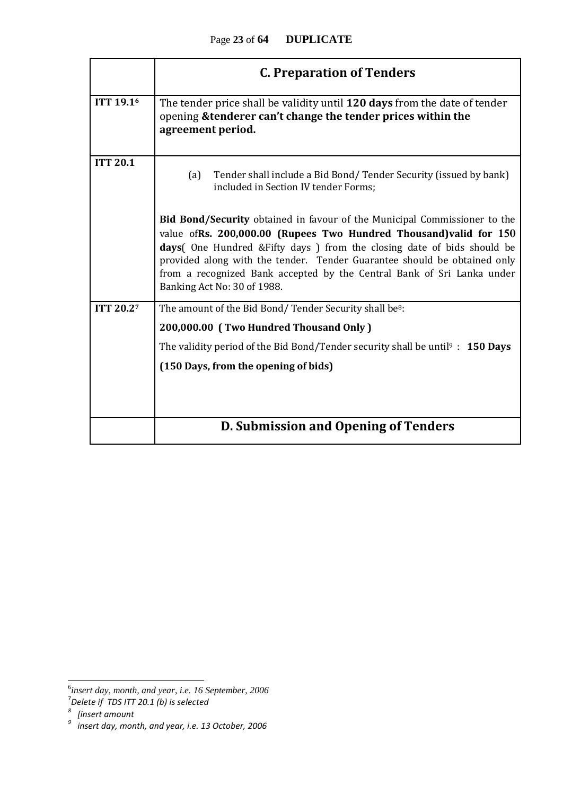|                       | <b>C. Preparation of Tenders</b>                                                                                                                                                                                                                                                                                                                                                                                        |  |  |  |  |  |  |
|-----------------------|-------------------------------------------------------------------------------------------------------------------------------------------------------------------------------------------------------------------------------------------------------------------------------------------------------------------------------------------------------------------------------------------------------------------------|--|--|--|--|--|--|
| ITT 19.1 <sup>6</sup> | The tender price shall be validity until 120 days from the date of tender<br>opening & tenderer can't change the tender prices within the<br>agreement period.                                                                                                                                                                                                                                                          |  |  |  |  |  |  |
| <b>ITT 20.1</b>       | Tender shall include a Bid Bond/Tender Security (issued by bank)<br>(a)<br>included in Section IV tender Forms;                                                                                                                                                                                                                                                                                                         |  |  |  |  |  |  |
|                       | <b>Bid Bond/Security</b> obtained in favour of the Municipal Commissioner to the<br>value of Rs. 200,000.00 (Rupees Two Hundred Thousand) valid for 150<br>days (One Hundred & Fifty days) from the closing date of bids should be<br>provided along with the tender. Tender Guarantee should be obtained only<br>from a recognized Bank accepted by the Central Bank of Sri Lanka under<br>Banking Act No: 30 of 1988. |  |  |  |  |  |  |
| <b>ITT 20.27</b>      | The amount of the Bid Bond/Tender Security shall be <sup>8</sup> :<br>200,000.00 (Two Hundred Thousand Only)                                                                                                                                                                                                                                                                                                            |  |  |  |  |  |  |
|                       | The validity period of the Bid Bond/Tender security shall be until $\frac{1}{2}$ : 150 Days<br>(150 Days, from the opening of bids)                                                                                                                                                                                                                                                                                     |  |  |  |  |  |  |
|                       | D. Submission and Opening of Tenders                                                                                                                                                                                                                                                                                                                                                                                    |  |  |  |  |  |  |

<sup>&</sup>lt;sup>6</sup><br><sup>5</sup>insert day, month, and year, i.e. 16 September, 2006<sup>7</sup><br><sup>8</sup> [insert amount<br><sup>9</sup> insert day, month, and year, i.e. 13 October, 2006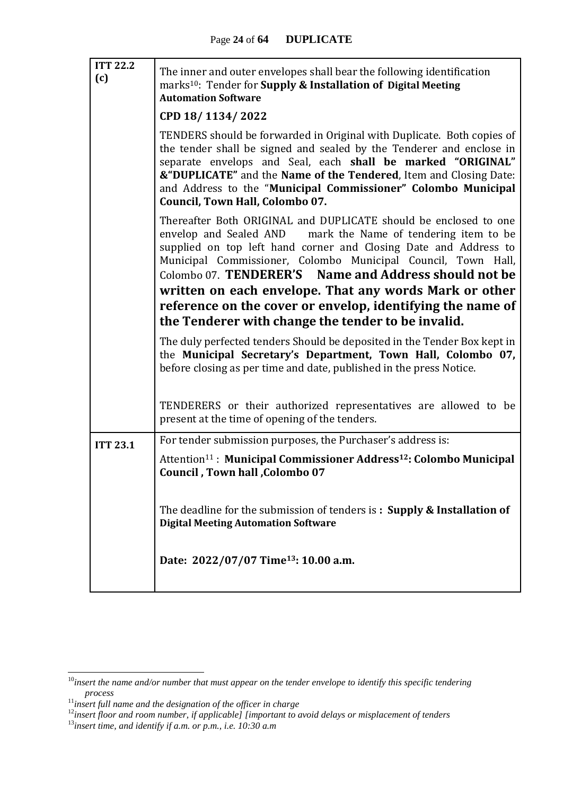| <b>ITT 22.2</b><br>(c) | The inner and outer envelopes shall bear the following identification<br>marks <sup>10</sup> : Tender for <b>Supply &amp; Installation of Digital Meeting</b><br><b>Automation Software</b>                                                                                                                                                                                            |
|------------------------|----------------------------------------------------------------------------------------------------------------------------------------------------------------------------------------------------------------------------------------------------------------------------------------------------------------------------------------------------------------------------------------|
|                        | CPD 18/1134/2022                                                                                                                                                                                                                                                                                                                                                                       |
|                        | TENDERS should be forwarded in Original with Duplicate. Both copies of<br>the tender shall be signed and sealed by the Tenderer and enclose in<br>separate envelops and Seal, each shall be marked "ORIGINAL"<br>&"DUPLICATE" and the Name of the Tendered, Item and Closing Date:<br>and Address to the "Municipal Commissioner" Colombo Municipal<br>Council, Town Hall, Colombo 07. |
|                        | Thereafter Both ORIGINAL and DUPLICATE should be enclosed to one<br>envelop and Sealed AND mark the Name of tendering item to be<br>supplied on top left hand corner and Closing Date and Address to<br>Municipal Commissioner, Colombo Municipal Council, Town Hall,<br>Colombo 07. TENDERER'S Name and Address should not be                                                         |
|                        | written on each envelope. That any words Mark or other                                                                                                                                                                                                                                                                                                                                 |
|                        | reference on the cover or envelop, identifying the name of                                                                                                                                                                                                                                                                                                                             |
|                        | the Tenderer with change the tender to be invalid.                                                                                                                                                                                                                                                                                                                                     |
|                        | The duly perfected tenders Should be deposited in the Tender Box kept in<br>the Municipal Secretary's Department, Town Hall, Colombo 07,<br>before closing as per time and date, published in the press Notice.                                                                                                                                                                        |
|                        | TENDERERS or their authorized representatives are allowed to be<br>present at the time of opening of the tenders.                                                                                                                                                                                                                                                                      |
| <b>ITT 23.1</b>        | For tender submission purposes, the Purchaser's address is:                                                                                                                                                                                                                                                                                                                            |
|                        | Attention <sup>11</sup> : Municipal Commissioner Address <sup>12</sup> : Colombo Municipal<br>Council, Town hall, Colombo 07                                                                                                                                                                                                                                                           |
|                        | The deadline for the submission of tenders is: Supply & Installation of<br><b>Digital Meeting Automation Software</b>                                                                                                                                                                                                                                                                  |
|                        | Date: 2022/07/07 Time <sup>13</sup> : 10.00 a.m.                                                                                                                                                                                                                                                                                                                                       |

1

<sup>10</sup>*insert the name and/or number that must appear on the tender envelope to identify this specific tendering process*

<sup>11</sup>*insert full name and the designation of the officer in charge*

<sup>12</sup>*insert floor and room number, if applicable] [important to avoid delays or misplacement of tenders*

<sup>13</sup>*insert time, and identify if a.m. or p.m., i.e. 10:30 a.m*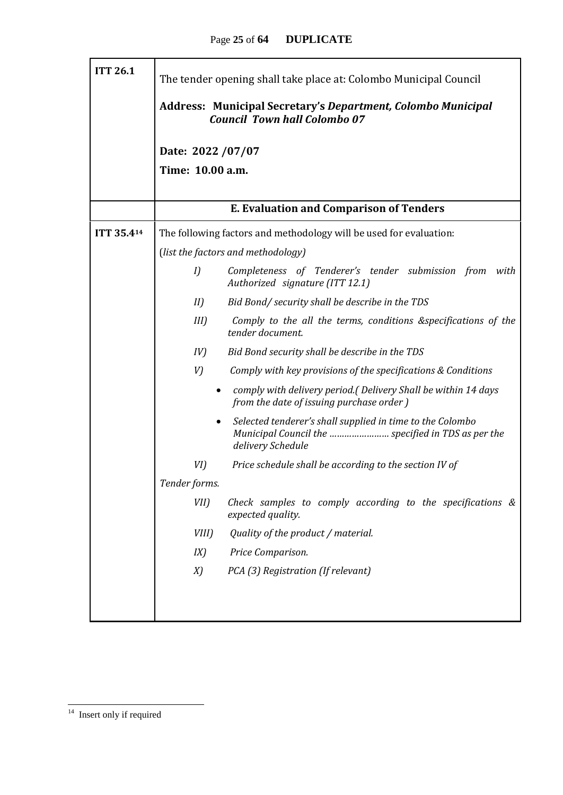| <b>ITT 26.1</b>                                | The tender opening shall take place at: Colombo Municipal Council                                          |                                                                                                                                      |  |  |  |  |  |  |  |  |
|------------------------------------------------|------------------------------------------------------------------------------------------------------------|--------------------------------------------------------------------------------------------------------------------------------------|--|--|--|--|--|--|--|--|
|                                                | <b>Address: Municipal Secretary's Department, Colombo Municipal</b><br><b>Council Town hall Colombo 07</b> |                                                                                                                                      |  |  |  |  |  |  |  |  |
|                                                | Date: 2022 / 07/07                                                                                         |                                                                                                                                      |  |  |  |  |  |  |  |  |
|                                                | Time: 10.00 a.m.                                                                                           |                                                                                                                                      |  |  |  |  |  |  |  |  |
| <b>E. Evaluation and Comparison of Tenders</b> |                                                                                                            |                                                                                                                                      |  |  |  |  |  |  |  |  |
| ITT 35.414                                     |                                                                                                            | The following factors and methodology will be used for evaluation:                                                                   |  |  |  |  |  |  |  |  |
|                                                |                                                                                                            | (list the factors and methodology)                                                                                                   |  |  |  |  |  |  |  |  |
|                                                | I                                                                                                          | Completeness of Tenderer's tender submission from<br>with<br>Authorized signature (ITT 12.1)                                         |  |  |  |  |  |  |  |  |
|                                                | II                                                                                                         | Bid Bond/ security shall be describe in the TDS                                                                                      |  |  |  |  |  |  |  |  |
|                                                | $III$ )                                                                                                    | Comply to the all the terms, conditions &specifications of the<br>tender document.                                                   |  |  |  |  |  |  |  |  |
|                                                | IV)                                                                                                        | Bid Bond security shall be describe in the TDS                                                                                       |  |  |  |  |  |  |  |  |
|                                                | V)                                                                                                         | Comply with key provisions of the specifications & Conditions                                                                        |  |  |  |  |  |  |  |  |
|                                                | $\bullet$                                                                                                  | comply with delivery period.(Delivery Shall be within 14 days<br>from the date of issuing purchase order)                            |  |  |  |  |  |  |  |  |
|                                                | $\bullet$                                                                                                  | Selected tenderer's shall supplied in time to the Colombo<br>Municipal Council the  specified in TDS as per the<br>delivery Schedule |  |  |  |  |  |  |  |  |
|                                                | VI)                                                                                                        | Price schedule shall be according to the section IV of                                                                               |  |  |  |  |  |  |  |  |
|                                                | Tender forms.                                                                                              |                                                                                                                                      |  |  |  |  |  |  |  |  |
|                                                | VII)                                                                                                       | Check samples to comply according to the specifications $\&$<br>expected quality.                                                    |  |  |  |  |  |  |  |  |
|                                                | VIII)                                                                                                      | Quality of the product / material.                                                                                                   |  |  |  |  |  |  |  |  |
|                                                | IX)                                                                                                        | Price Comparison.                                                                                                                    |  |  |  |  |  |  |  |  |
|                                                | X)                                                                                                         | PCA (3) Registration (If relevant)                                                                                                   |  |  |  |  |  |  |  |  |
|                                                |                                                                                                            |                                                                                                                                      |  |  |  |  |  |  |  |  |
|                                                |                                                                                                            |                                                                                                                                      |  |  |  |  |  |  |  |  |

<sup>&</sup>lt;sup>14</sup> Insert only if required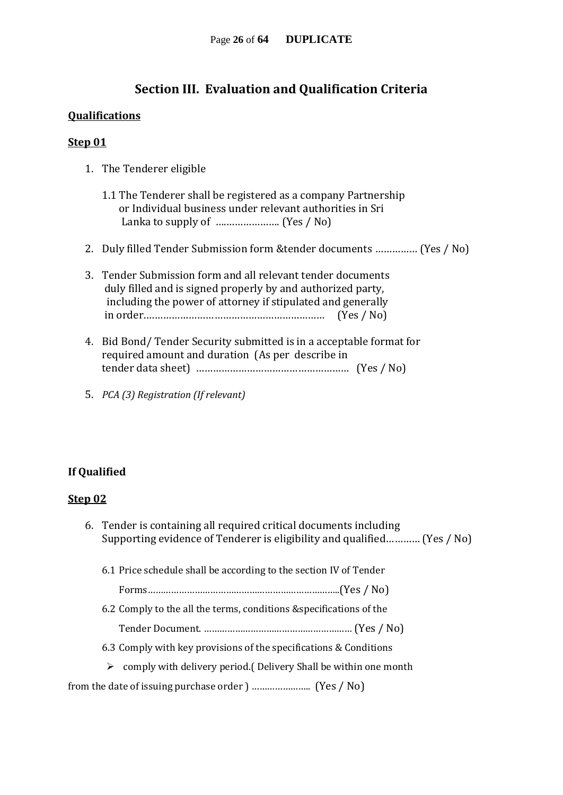#### **Section III. Evaluation and Qualification Criteria**

#### **Qualifications**

#### **Step 01**

- 1. The Tenderer eligible
	- 1.1 The Tenderer shall be registered as a company Partnership or Individual business under relevant authorities in Sri Lanka to supply of ….………………. (Yes / No)
- 2. Duly filled Tender Submission form &tender documents …………… (Yes / No)
- 3. Tender Submission form and all relevant tender documents duly filled and is signed properly by and authorized party, including the power of attorney if stipulated and generally in order.……………………………………………………… (Yes / No)
- 4. Bid Bond/ Tender Security submitted is in a acceptable format for required amount and duration (As per describe in tender data sheet) ……………………………………………… (Yes / No)
- 5. *PCA (3) Registration (If relevant)*

#### **If Qualified**

#### **Step 02**

6. Tender is containing all required critical documents including Supporting evidence of Tenderer is eligibility and qualified………… (Yes / No) 6.1 Price schedule shall be according to the section IV of Tender Forms………………………………………………………………..(Yes / No) 6.2 Comply to the all the terms, conditions &specifications of the Tender Document. ………………………………………………… (Yes / No) 6.3 Comply with key provisions of the specifications & Conditions  $\triangleright$  comply with delivery period. (Delivery Shall be within one month

from the date of issuing purchase order ) ………………….. (Yes / No)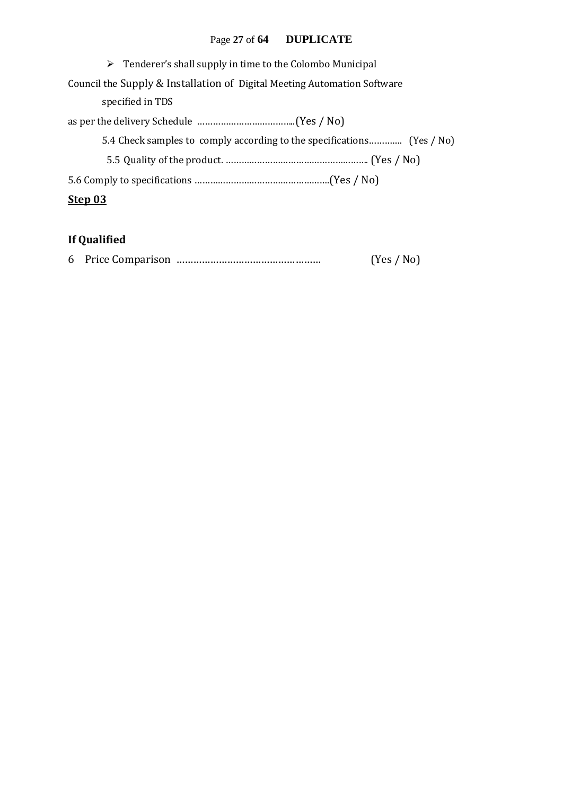#### Page **27** of **64 DUPLICATE**

| $\triangleright$ Tenderer's shall supply in time to the Colombo Municipal |  |  |  |  |  |
|---------------------------------------------------------------------------|--|--|--|--|--|
| Council the Supply & Installation of Digital Meeting Automation Software  |  |  |  |  |  |
| specified in TDS                                                          |  |  |  |  |  |
|                                                                           |  |  |  |  |  |
| 5.4 Check samples to comply according to the specifications (Yes / No)    |  |  |  |  |  |
|                                                                           |  |  |  |  |  |
|                                                                           |  |  |  |  |  |
| Step 03                                                                   |  |  |  |  |  |

### **If Qualified**

|  |  |  | (Yes / No) |  |
|--|--|--|------------|--|
|--|--|--|------------|--|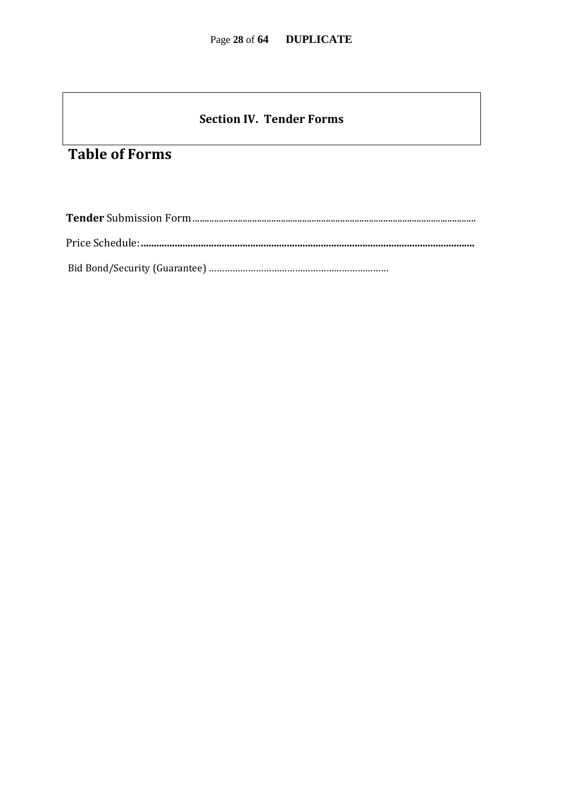#### **Section IV. Tender Forms**

### **Table of Forms**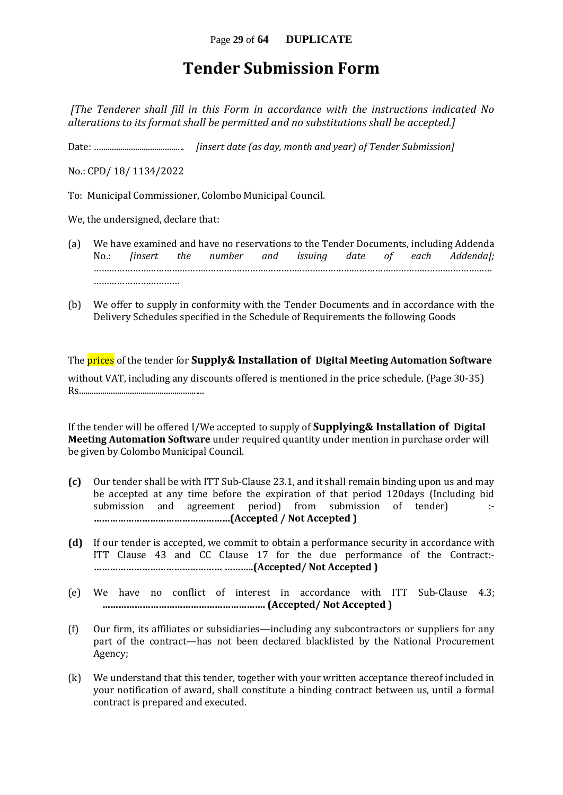### **Tender Submission Form**

*[The Tenderer shall fill in this Form in accordance with the instructions indicated No alterations to its format shall be permitted and no substitutions shall be accepted.]*

Date: …....................................... *[insert date (as day, month and year) of Tender Submission]*

No.: CPD/ 18/ 1134/2022

To: Municipal Commissioner, Colombo Municipal Council.

We, the undersigned, declare that:

- (a) We have examined and have no reservations to the Tender Documents, including Addenda No.: *[insert the number and issuing date of each Addenda];* ……………………………………………………………………………………………………………………………………… ……………………………
- (b) We offer to supply in conformity with the Tender Documents and in accordance with the Delivery Schedules specified in the Schedule of Requirements the following Goods

The prices of the tender for **Supply& Installation of Digital Meeting Automation Software** without VAT, including any discounts offered is mentioned in the price schedule. (Page 30-35) Rs...........................................................

If the tender will be offered I/We accepted to supply of **Supplying& Installation of Digital Meeting Automation Software** under required quantity under mention in purchase order will be given by Colombo Municipal Council.

- **(c)** Our tender shall be with ITT Sub-Clause 23.1, and it shall remain binding upon us and may be accepted at any time before the expiration of that period 120days (Including bid submission and agreement period) from submission of tender) :- **……………………………………………(Accepted / Not Accepted )**
- **(d)** If our tender is accepted, we commit to obtain a performance security in accordance with ITT Clause 43 and CC Clause 17 for the due performance of the Contract:- **………………………………………… ………..(Accepted/ Not Accepted )**
- (e) We have no conflict of interest in accordance with ITT Sub-Clause 4.3; **……………………………………………………. (Accepted/ Not Accepted )**
- (f) Our firm, its affiliates or subsidiaries—including any subcontractors or suppliers for any part of the contract—has not been declared blacklisted by the National Procurement Agency;
- (k) We understand that this tender, together with your written acceptance thereof included in your notification of award, shall constitute a binding contract between us, until a formal contract is prepared and executed.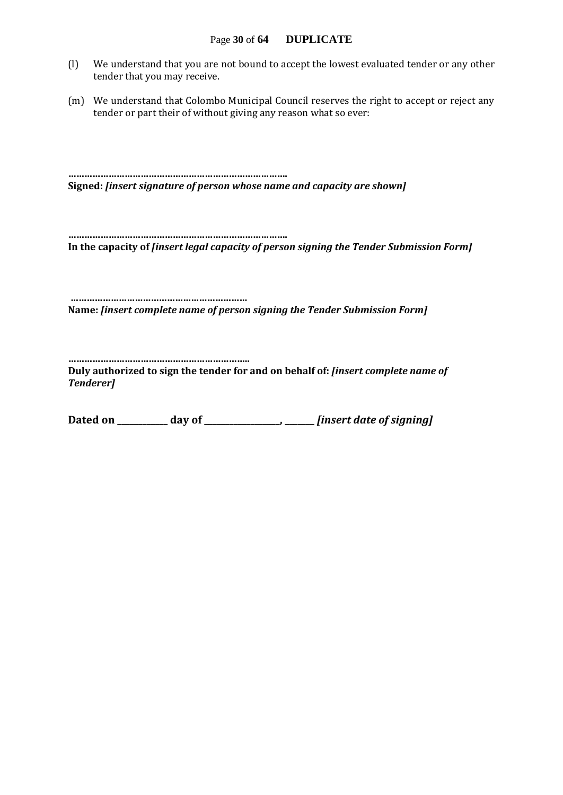- (l) We understand that you are not bound to accept the lowest evaluated tender or any other tender that you may receive.
- (m) We understand that Colombo Municipal Council reserves the right to accept or reject any tender or part their of without giving any reason what so ever:

**………………………………………………………………………. Signed:** *[insert signature of person whose name and capacity are shown]*

**………………………………………………………………………. In the capacity of** *[insert legal capacity of person signing the Tender Submission Form]*

**………………………………………………………… Name:** *[insert complete name of person signing the Tender Submission Form]*

**…………………………………………………………..**

**Duly authorized to sign the tender for and on behalf of:** *[insert complete name of Tenderer]*

**Dated on \_\_\_\_\_\_\_\_\_\_\_\_ day of \_\_\_\_\_\_\_\_\_\_\_\_\_\_\_\_\_\_, \_\_\_\_\_\_\_** *[insert date of signing]*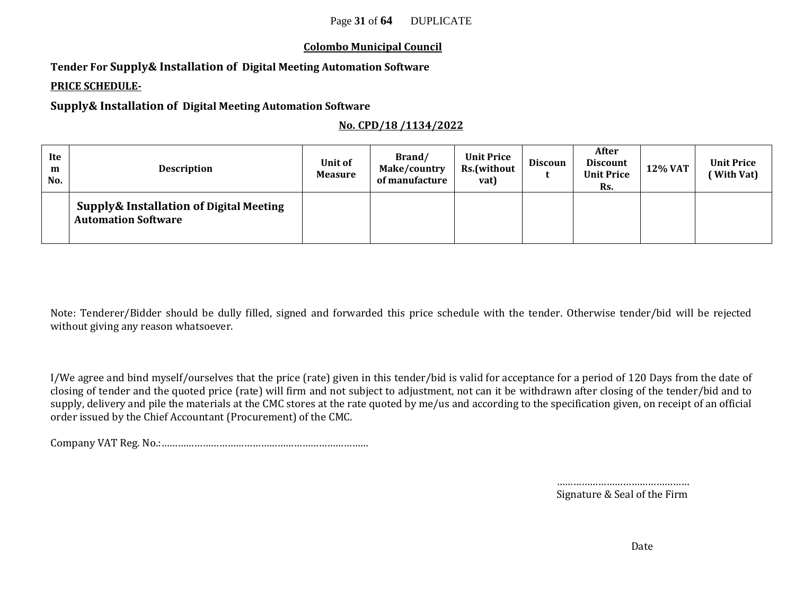#### **Colombo Municipal Council**

**Tender For Supply& Installation of Digital Meeting Automation Software**

#### **PRICE SCHEDULE-**

**Supply& Installation of Digital Meeting Automation Software**

#### **No. CPD/18 /1134/2022**

| Ite<br>m<br>No. | <b>Description</b>                                                               | Unit of<br><b>Measure</b> | Brand/<br>Make/country<br>of manufacture | <b>Unit Price</b><br>Rs.(without<br>vat) | <b>Discoun</b> | After<br><b>Discount</b><br><b>Unit Price</b><br>Rs. | 12% VAT | <b>Unit Price</b><br>(With Vat) |
|-----------------|----------------------------------------------------------------------------------|---------------------------|------------------------------------------|------------------------------------------|----------------|------------------------------------------------------|---------|---------------------------------|
|                 | <b>Supply&amp; Installation of Digital Meeting</b><br><b>Automation Software</b> |                           |                                          |                                          |                |                                                      |         |                                 |

Note: Tenderer/Bidder should be dully filled, signed and forwarded this price schedule with the tender. Otherwise tender/bid will be rejected without giving any reason whatsoever.

I/We agree and bind myself/ourselves that the price (rate) given in this tender/bid is valid for acceptance for a period of 120 Days from the date of closing of tender and the quoted price (rate) will firm and not subject to adjustment, not can it be withdrawn after closing of the tender/bid and to supply, delivery and pile the materials at the CMC stores at the rate quoted by me/us and according to the specification given, on receipt of an official order issued by the Chief Accountant (Procurement) of the CMC.

Company VAT Reg. No.:…………………………………………………………………

…………………………………………… Signature & Seal of the Firm

Date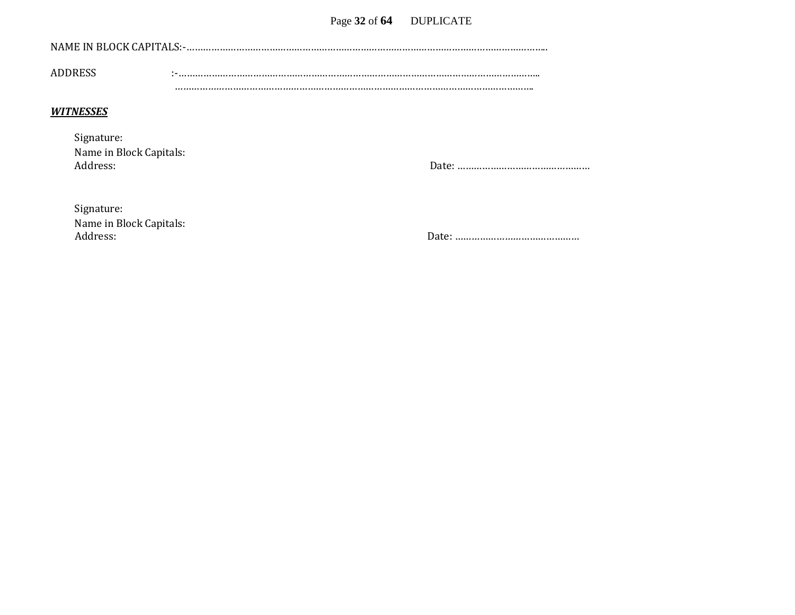#### Page 32 of 64 DUPLICATE

| NAME IN BLOCK CAPITALS:-. |  |
|---------------------------|--|
|                           |  |
|                           |  |
| ADDRESS                   |  |
|                           |  |
|                           |  |

#### *WITNESSES*

| Signature:              |
|-------------------------|
| Name in Block Capitals: |
| Address:                |

Address: Date: …………………………………………

Address: Date: ………………………………………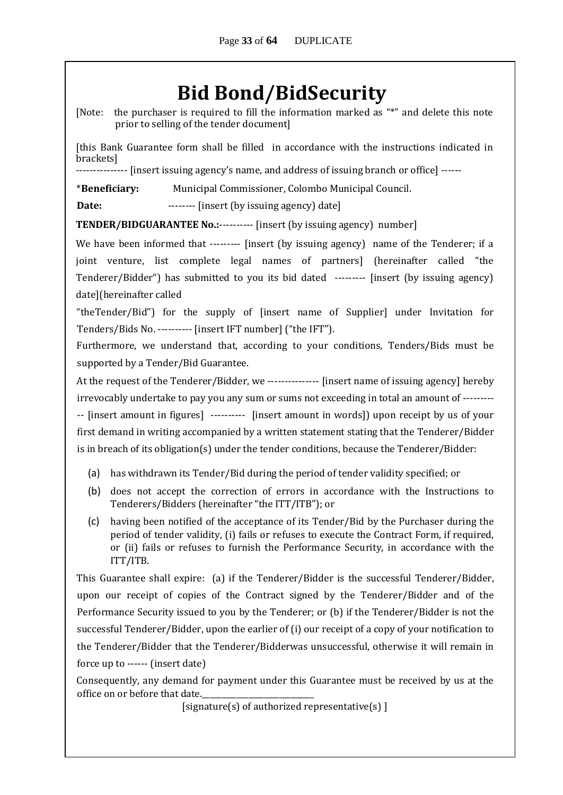## **Bid Bond/BidSecurity**

[Note: the purchaser is required to fill the information marked as "\*" and delete this note prior to selling of the tender document]

[this Bank Guarantee form shall be filled in accordance with the instructions indicated in brackets]

--------------- [insert issuing agency's name, and address of issuing branch or office] ------

\***Beneficiary:** Municipal Commissioner, Colombo Municipal Council.

**Date:** -------- [insert (by issuing agency) date]

**TENDER/BIDGUARANTEE No.:**---------- [insert (by issuing agency) number]

We have been informed that --------- [insert (by issuing agency) name of the Tenderer; if a joint venture, list complete legal names of partners] (hereinafter called "the Tenderer/Bidder") has submitted to you its bid dated --------- [insert (by issuing agency) date](hereinafter called

"theTender/Bid") for the supply of [insert name of Supplier] under Invitation for Tenders/Bids No. ---------- [insert IFT number] ("the IFT").

Furthermore, we understand that, according to your conditions, Tenders/Bids must be supported by a Tender/Bid Guarantee.

At the request of the Tenderer/Bidder, we --------------- [insert name of issuing agency] hereby irrevocably undertake to pay you any sum or sums not exceeding in total an amount of --------- -- [insert amount in figures] ---------- [insert amount in words]) upon receipt by us of your first demand in writing accompanied by a written statement stating that the Tenderer/Bidder is in breach of its obligation(s) under the tender conditions, because the Tenderer/Bidder:

- (a) has withdrawn its Tender/Bid during the period of tender validity specified; or
- (b) does not accept the correction of errors in accordance with the Instructions to Tenderers/Bidders (hereinafter "the ITT/ITB"); or
- (c) having been notified of the acceptance of its Tender/Bid by the Purchaser during the period of tender validity, (i) fails or refuses to execute the Contract Form, if required, or (ii) fails or refuses to furnish the Performance Security, in accordance with the ITT/ITB.

This Guarantee shall expire: (a) if the Tenderer/Bidder is the successful Tenderer/Bidder, upon our receipt of copies of the Contract signed by the Tenderer/Bidder and of the Performance Security issued to you by the Tenderer; or (b) if the Tenderer/Bidder is not the successful Tenderer/Bidder, upon the earlier of (i) our receipt of a copy of your notification to the Tenderer/Bidder that the Tenderer/Bidderwas unsuccessful, otherwise it will remain in force up to ------ (insert date)

Consequently, any demand for payment under this Guarantee must be received by us at the office on or before that date.

[signature(s) of authorized representative(s) ]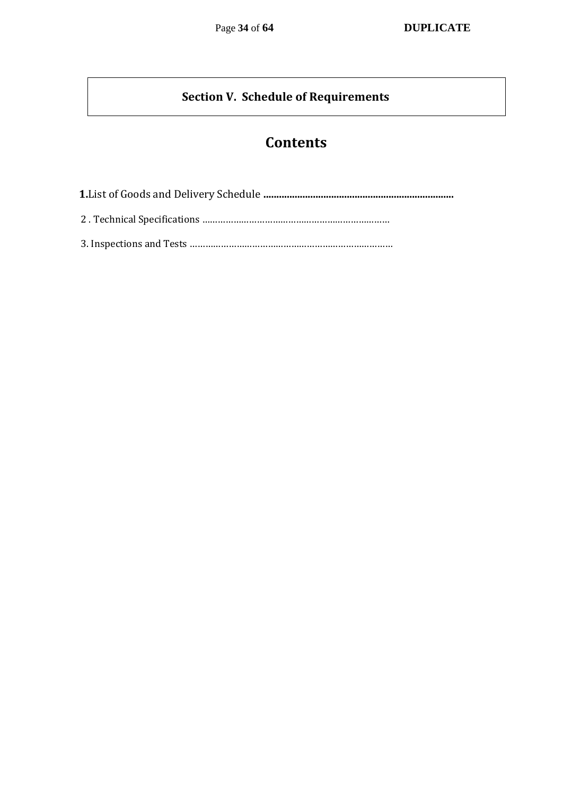#### **Section V. Schedule of Requirements**

### **Contents**

 **1.**List of Goods and Delivery Schedule **.........................................................................** 2 . Technical Specifications ………………………………………………………………

3. Inspections and Tests ……………………………………………………………………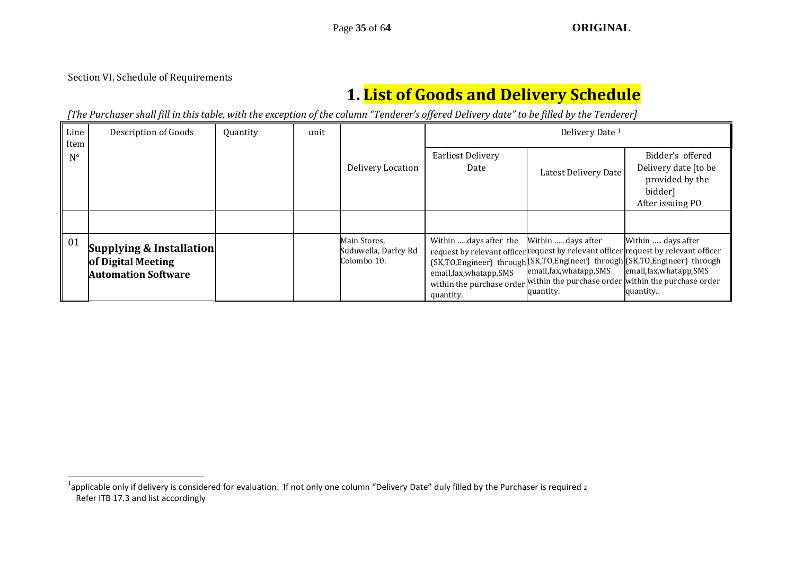Section VI. Schedule of Requirements

-

## **1. List of Goods and Delivery Schedule**

*[The Purchaser shall fill in this table, with the exception of the column "Tenderer's offered Delivery date" to be filled by the Tenderer]* 

| Line<br>Item | Description of Goods                                                         | Quantity | unit |                                                     | Delivery Date <sup>1</sup>                                     |                                                             |                                                                                                                                                                                                                                                                                                                  |
|--------------|------------------------------------------------------------------------------|----------|------|-----------------------------------------------------|----------------------------------------------------------------|-------------------------------------------------------------|------------------------------------------------------------------------------------------------------------------------------------------------------------------------------------------------------------------------------------------------------------------------------------------------------------------|
| $N^{\circ}$  |                                                                              |          |      | Delivery Location                                   | <b>Earliest Delivery</b><br>Date                               | Latest Delivery Date                                        | Bidder's offered<br>Delivery date [to be<br>provided by the<br>bidder]<br>After issuing PO                                                                                                                                                                                                                       |
|              |                                                                              |          |      |                                                     |                                                                |                                                             |                                                                                                                                                                                                                                                                                                                  |
| 01           | Supplying & Installation<br>of Digital Meeting<br><b>Automation Software</b> |          |      | Main Stores,<br>Suduwella, Darley Rd<br>Colombo 10. | Within days after the<br>email, fax, whatapp, SMS<br>quantity. | Within  days after<br>email, fax, whatapp, SMS<br>quantity. | Within  days after<br>request by relevant officer request by relevant officer request by relevant officer<br>(SK,TO,Engineer) through (SK,TO,Engineer) through (SK,TO,Engineer) through<br>email, fax, whatapp, SMS<br>within the purchase order within the purchase order within the purchase order<br>quantity |

 $^1$ applicable only if delivery is considered for evaluation. If not only one column "Delivery Date" duly filled by the Purchaser is required 2 Refer ITB 17.3 and list accordingly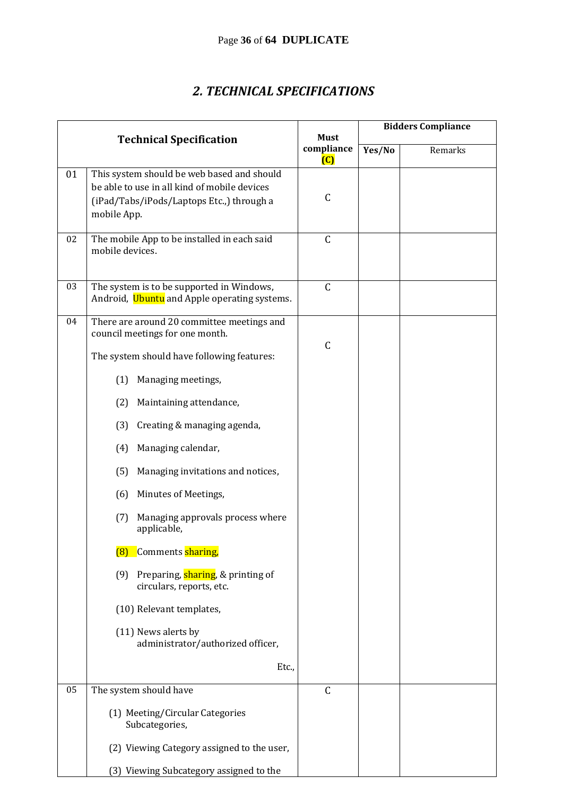### *2. TECHNICAL SPECIFICATIONS*

|    |                                                                                                                                                        | <b>Must</b>                  | <b>Bidders Compliance</b> |         |  |
|----|--------------------------------------------------------------------------------------------------------------------------------------------------------|------------------------------|---------------------------|---------|--|
|    | <b>Technical Specification</b>                                                                                                                         | compliance<br>$\overline{C}$ | Yes/No                    | Remarks |  |
| 01 | This system should be web based and should<br>be able to use in all kind of mobile devices<br>(iPad/Tabs/iPods/Laptops Etc.,) through a<br>mobile App. | $\mathsf{C}$                 |                           |         |  |
| 02 | The mobile App to be installed in each said<br>mobile devices.                                                                                         | $\mathsf C$                  |                           |         |  |
| 03 | The system is to be supported in Windows,<br>Android, Ubuntu and Apple operating systems.                                                              | $\mathsf C$                  |                           |         |  |
| 04 | There are around 20 committee meetings and<br>council meetings for one month.                                                                          |                              |                           |         |  |
|    | The system should have following features:                                                                                                             | $\mathsf{C}$                 |                           |         |  |
|    | Managing meetings,<br>(1)                                                                                                                              |                              |                           |         |  |
|    | (2)<br>Maintaining attendance,                                                                                                                         |                              |                           |         |  |
|    | Creating & managing agenda,<br>(3)                                                                                                                     |                              |                           |         |  |
|    | Managing calendar,<br>(4)                                                                                                                              |                              |                           |         |  |
|    | Managing invitations and notices,<br>(5)                                                                                                               |                              |                           |         |  |
|    | Minutes of Meetings,<br>(6)                                                                                                                            |                              |                           |         |  |
|    | Managing approvals process where<br>(7)<br>applicable,                                                                                                 |                              |                           |         |  |
|    | Comments sharing,<br>(8)                                                                                                                               |                              |                           |         |  |
|    | (9) Preparing, sharing, & printing of<br>circulars, reports, etc.                                                                                      |                              |                           |         |  |
|    | (10) Relevant templates,                                                                                                                               |                              |                           |         |  |
|    | (11) News alerts by<br>administrator/authorized officer,                                                                                               |                              |                           |         |  |
|    | Etc.,                                                                                                                                                  |                              |                           |         |  |
| 05 | The system should have                                                                                                                                 | $\mathsf{C}$                 |                           |         |  |
|    | (1) Meeting/Circular Categories<br>Subcategories,                                                                                                      |                              |                           |         |  |
|    | (2) Viewing Category assigned to the user,                                                                                                             |                              |                           |         |  |
|    | (3) Viewing Subcategory assigned to the                                                                                                                |                              |                           |         |  |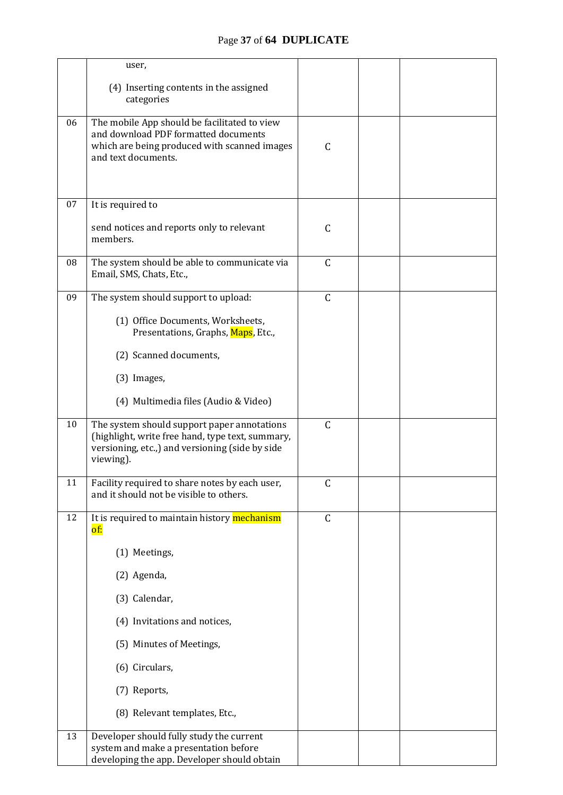|    | user,                                                                                                                                                           |              |  |  |
|----|-----------------------------------------------------------------------------------------------------------------------------------------------------------------|--------------|--|--|
|    | (4) Inserting contents in the assigned<br>categories                                                                                                            |              |  |  |
| 06 | The mobile App should be facilitated to view<br>and download PDF formatted documents<br>which are being produced with scanned images<br>and text documents.     | $\mathsf{C}$ |  |  |
| 07 | It is required to                                                                                                                                               |              |  |  |
|    | send notices and reports only to relevant<br>members.                                                                                                           | $\mathsf C$  |  |  |
| 08 | The system should be able to communicate via<br>Email, SMS, Chats, Etc.,                                                                                        | $\mathsf{C}$ |  |  |
| 09 | The system should support to upload:                                                                                                                            | $\mathsf C$  |  |  |
|    | (1) Office Documents, Worksheets,<br>Presentations, Graphs, Maps, Etc.,                                                                                         |              |  |  |
|    | (2) Scanned documents,                                                                                                                                          |              |  |  |
|    | (3) Images,                                                                                                                                                     |              |  |  |
|    | (4) Multimedia files (Audio & Video)                                                                                                                            |              |  |  |
| 10 | The system should support paper annotations<br>(highlight, write free hand, type text, summary,<br>versioning, etc.,) and versioning (side by side<br>viewing). | $\mathsf C$  |  |  |
| 11 | Facility required to share notes by each user,<br>and it should not be visible to others.                                                                       | $\mathsf C$  |  |  |
| 12 | It is required to maintain history mechanism<br>of:                                                                                                             | $\mathsf{C}$ |  |  |
|    | (1) Meetings,                                                                                                                                                   |              |  |  |
|    | (2) Agenda,                                                                                                                                                     |              |  |  |
|    | (3) Calendar,                                                                                                                                                   |              |  |  |
|    | (4) Invitations and notices,                                                                                                                                    |              |  |  |
|    | (5) Minutes of Meetings,                                                                                                                                        |              |  |  |
|    | (6) Circulars,                                                                                                                                                  |              |  |  |
|    | (7) Reports,                                                                                                                                                    |              |  |  |
|    | (8) Relevant templates, Etc.,                                                                                                                                   |              |  |  |
| 13 | Developer should fully study the current<br>system and make a presentation before<br>developing the app. Developer should obtain                                |              |  |  |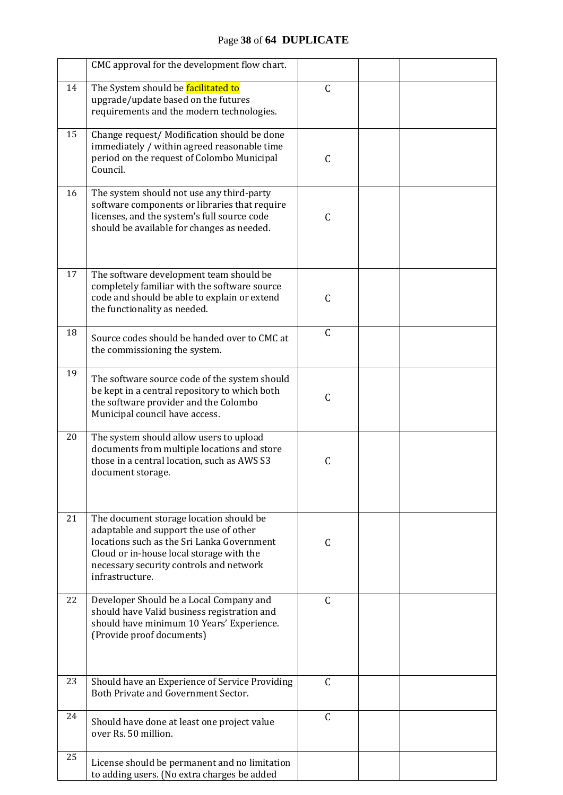|    | CMC approval for the development flow chart.                                                                                                                                                                                              |               |  |
|----|-------------------------------------------------------------------------------------------------------------------------------------------------------------------------------------------------------------------------------------------|---------------|--|
| 14 | The System should be facilitated to<br>upgrade/update based on the futures<br>requirements and the modern technologies.                                                                                                                   | $\mathsf{C}$  |  |
| 15 | Change request/ Modification should be done<br>immediately / within agreed reasonable time<br>period on the request of Colombo Municipal<br>Council.                                                                                      | C             |  |
| 16 | The system should not use any third-party<br>software components or libraries that require<br>licenses, and the system's full source code<br>should be available for changes as needed.                                                   | $\mathsf C$   |  |
| 17 | The software development team should be<br>completely familiar with the software source<br>code and should be able to explain or extend<br>the functionality as needed.                                                                   | $\mathsf{C}$  |  |
| 18 | Source codes should be handed over to CMC at<br>the commissioning the system.                                                                                                                                                             | $\mathsf C$   |  |
| 19 | The software source code of the system should<br>be kept in a central repository to which both<br>the software provider and the Colombo<br>Municipal council have access.                                                                 | $\mathsf{C}$  |  |
| 20 | The system should allow users to upload<br>documents from multiple locations and store<br>those in a central location, such as AWS S3<br>document storage.                                                                                | $\mathsf{C}$  |  |
| 21 | The document storage location should be<br>adaptable and support the use of other<br>locations such as the Sri Lanka Government<br>Cloud or in-house local storage with the<br>necessary security controls and network<br>infrastructure. | C             |  |
| 22 | Developer Should be a Local Company and<br>should have Valid business registration and<br>should have minimum 10 Years' Experience.<br>(Provide proof documents)                                                                          | $\mathsf{C}$  |  |
| 23 | Should have an Experience of Service Providing<br>Both Private and Government Sector.                                                                                                                                                     | $\mathcal{C}$ |  |
| 24 | Should have done at least one project value<br>over Rs. 50 million.                                                                                                                                                                       | $\mathcal{C}$ |  |
| 25 | License should be permanent and no limitation<br>to adding users. (No extra charges be added                                                                                                                                              |               |  |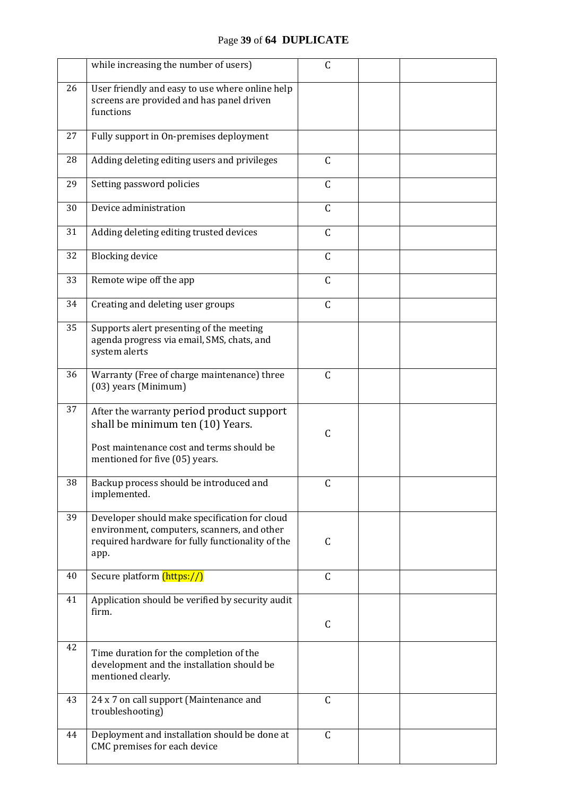#### Page **39** of **64 DUPLICATE**

|    | while increasing the number of users)                                                                                                                        | C            |  |
|----|--------------------------------------------------------------------------------------------------------------------------------------------------------------|--------------|--|
| 26 | User friendly and easy to use where online help<br>screens are provided and has panel driven<br>functions                                                    |              |  |
| 27 | Fully support in On-premises deployment                                                                                                                      |              |  |
| 28 | Adding deleting editing users and privileges                                                                                                                 | $\mathsf C$  |  |
| 29 | Setting password policies                                                                                                                                    | $\mathsf C$  |  |
| 30 | Device administration                                                                                                                                        | $\mathsf C$  |  |
| 31 | Adding deleting editing trusted devices                                                                                                                      | $\mathsf C$  |  |
| 32 | <b>Blocking device</b>                                                                                                                                       | $\mathsf{C}$ |  |
| 33 | Remote wipe off the app                                                                                                                                      | $\mathsf{C}$ |  |
| 34 | Creating and deleting user groups                                                                                                                            | $\mathsf C$  |  |
| 35 | Supports alert presenting of the meeting<br>agenda progress via email, SMS, chats, and<br>system alerts                                                      |              |  |
| 36 | Warranty (Free of charge maintenance) three<br>(03) years (Minimum)                                                                                          | $\mathsf C$  |  |
| 37 | After the warranty period product support<br>shall be minimum ten (10) Years.<br>Post maintenance cost and terms should be<br>mentioned for five (05) years. | $\mathsf{C}$ |  |
| 38 | Backup process should be introduced and<br>implemented.                                                                                                      | $\mathsf{C}$ |  |
| 39 | Developer should make specification for cloud<br>environment, computers, scanners, and other<br>required hardware for fully functionality of the<br>app.     | $\mathsf C$  |  |
| 40 | Secure platform <i>(https://)</i>                                                                                                                            | $\mathsf C$  |  |
| 41 | Application should be verified by security audit<br>firm.                                                                                                    | C            |  |
| 42 | Time duration for the completion of the<br>development and the installation should be<br>mentioned clearly.                                                  |              |  |
| 43 | 24 x 7 on call support (Maintenance and<br>troubleshooting)                                                                                                  | $\mathsf C$  |  |
| 44 | Deployment and installation should be done at<br>CMC premises for each device                                                                                | $\mathsf C$  |  |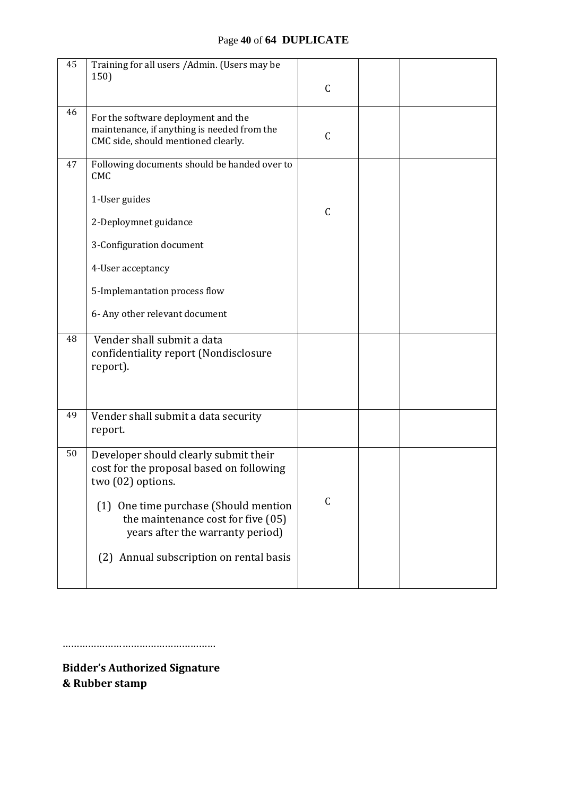#### Page **40** of **64 DUPLICATE**

| 45 | Training for all users / Admin. (Users may be<br>150)                                                                     | $\mathsf C$  |  |
|----|---------------------------------------------------------------------------------------------------------------------------|--------------|--|
| 46 | For the software deployment and the<br>maintenance, if anything is needed from the<br>CMC side, should mentioned clearly. | $\mathsf{C}$ |  |
| 47 | Following documents should be handed over to<br><b>CMC</b>                                                                |              |  |
|    | 1-User guides                                                                                                             | $\mathsf{C}$ |  |
|    | 2-Deploymnet guidance                                                                                                     |              |  |
|    | 3-Configuration document                                                                                                  |              |  |
|    | 4-User acceptancy                                                                                                         |              |  |
|    | 5-Implemantation process flow                                                                                             |              |  |
|    | 6- Any other relevant document                                                                                            |              |  |
| 48 | Vender shall submit a data<br>confidentiality report (Nondisclosure<br>report).                                           |              |  |
| 49 | Vender shall submit a data security<br>report.                                                                            |              |  |
| 50 | Developer should clearly submit their<br>cost for the proposal based on following<br>two (02) options.                    |              |  |
|    | One time purchase (Should mention<br>(1)<br>the maintenance cost for five (05)<br>years after the warranty period)        | $\mathsf C$  |  |
|    | Annual subscription on rental basis<br>(2)                                                                                |              |  |

………………………………………………

**Bidder's Authorized Signature & Rubber stamp**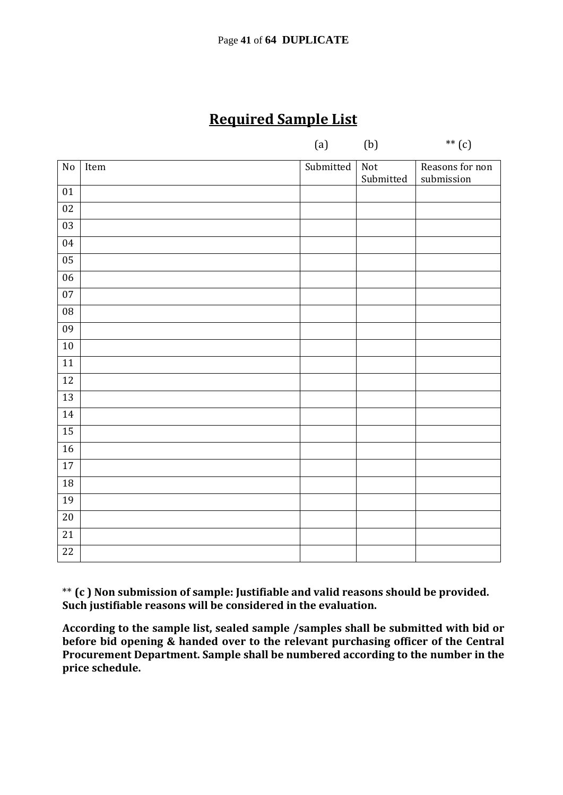### **Required Sample List**

| (b)<br>**<br>(a) |  | $\begin{array}{ccc} \begin{array}{ccc} \circ & \circ & \circ & \circ \end{array} & \begin{array}{ccc} \circ & \circ & \circ & \circ & \circ \end{array} \end{array}$ |    |
|------------------|--|----------------------------------------------------------------------------------------------------------------------------------------------------------------------|----|
|                  |  |                                                                                                                                                                      | دی |

| No              | Item | Submitted | $\overline{\text{Not}}$<br>Submitted | Reasons for non<br>submission |
|-----------------|------|-----------|--------------------------------------|-------------------------------|
| $01\,$          |      |           |                                      |                               |
| $02\,$          |      |           |                                      |                               |
| $\overline{03}$ |      |           |                                      |                               |
| $04\,$          |      |           |                                      |                               |
| $\overline{05}$ |      |           |                                      |                               |
| $\overline{06}$ |      |           |                                      |                               |
| 07              |      |           |                                      |                               |
| $08\,$          |      |           |                                      |                               |
| 09              |      |           |                                      |                               |
| 10              |      |           |                                      |                               |
| $\overline{11}$ |      |           |                                      |                               |
| $12\,$          |      |           |                                      |                               |
| 13              |      |           |                                      |                               |
| 14              |      |           |                                      |                               |
| 15              |      |           |                                      |                               |
| 16              |      |           |                                      |                               |
| 17              |      |           |                                      |                               |
| 18              |      |           |                                      |                               |
| 19              |      |           |                                      |                               |
| $\overline{20}$ |      |           |                                      |                               |
| $\overline{21}$ |      |           |                                      |                               |
| $\overline{22}$ |      |           |                                      |                               |

\*\* **(c ) Non submission of sample: Justifiable and valid reasons should be provided. Such justifiable reasons will be considered in the evaluation.** 

**According to the sample list, sealed sample /samples shall be submitted with bid or before bid opening & handed over to the relevant purchasing officer of the Central Procurement Department. Sample shall be numbered according to the number in the price schedule.**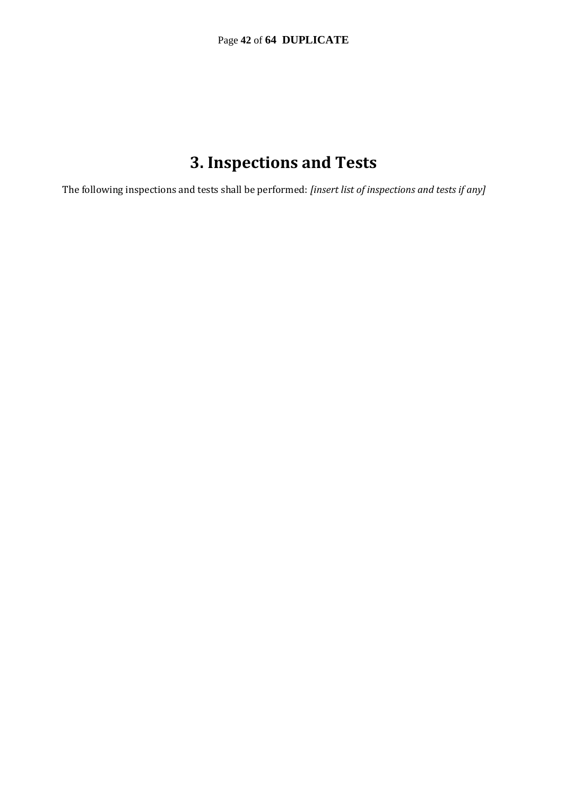## **3. Inspections and Tests**

The following inspections and tests shall be performed: *[insert list of inspections and tests if any]*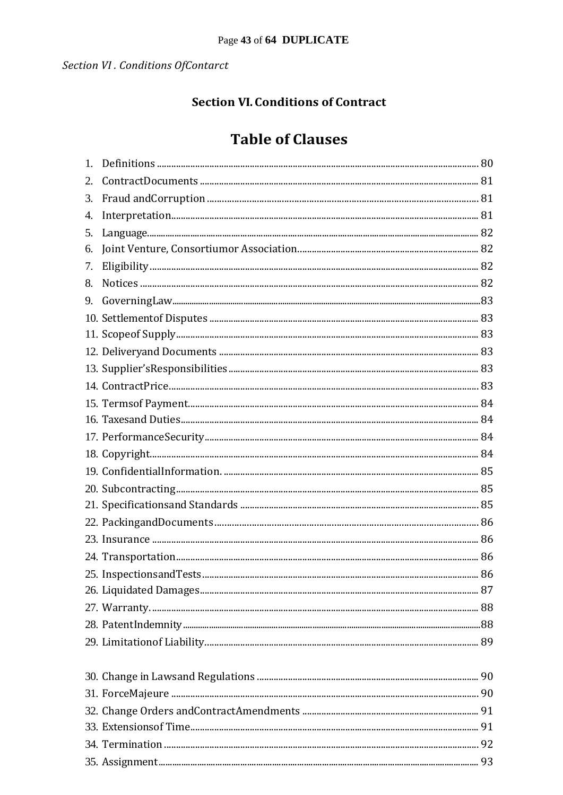### **Section VI. Conditions of Contract**

### **Table of Clauses**

| 1. |  |
|----|--|
| 2. |  |
| 3. |  |
| 4. |  |
| 5. |  |
| 6. |  |
| 7. |  |
| 8. |  |
| 9. |  |
|    |  |
|    |  |
|    |  |
|    |  |
|    |  |
|    |  |
|    |  |
|    |  |
|    |  |
|    |  |
|    |  |
|    |  |
|    |  |
|    |  |
|    |  |
|    |  |
|    |  |
|    |  |
|    |  |
|    |  |
|    |  |
|    |  |
|    |  |
|    |  |
|    |  |
|    |  |
|    |  |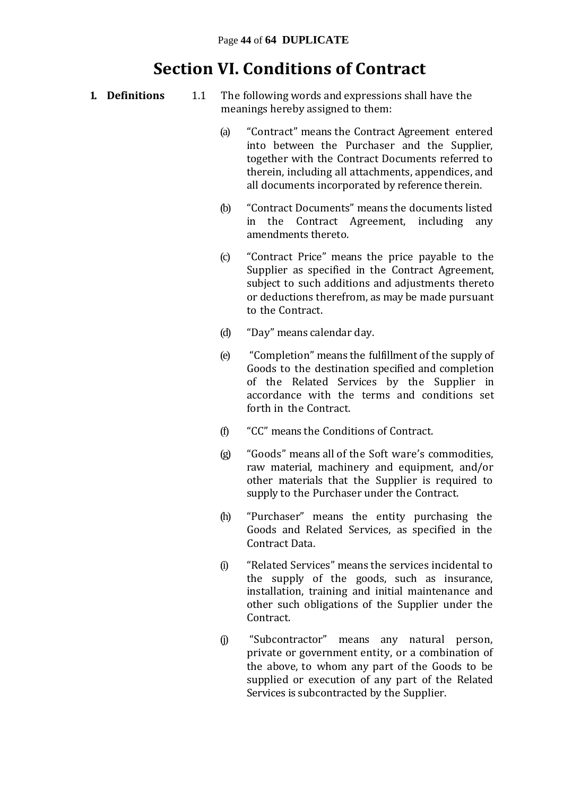### **Section VI. Conditions of Contract**

- **1. Definitions** 1.1 The following words and expressions shall have the meanings hereby assigned to them:
	- (a) "Contract" means the Contract Agreement entered into between the Purchaser and the Supplier, together with the Contract Documents referred to therein, including all attachments, appendices, and all documents incorporated by reference therein.
	- (b) "Contract Documents" means the documents listed in the Contract Agreement, including any amendments thereto.
	- (c) "Contract Price" means the price payable to the Supplier as specified in the Contract Agreement, subject to such additions and adjustments thereto or deductions therefrom, as may be made pursuant to the Contract.
	- (d) "Day" means calendar day.
	- (e) "Completion" means the fulfillment of the supply of Goods to the destination specified and completion of the Related Services by the Supplier in accordance with the terms and conditions set forth in the Contract.
	- (f) "CC" means the Conditions of Contract.
	- (g) "Goods" means all of the Soft ware's commodities, raw material, machinery and equipment, and/or other materials that the Supplier is required to supply to the Purchaser under the Contract.
	- (h) "Purchaser" means the entity purchasing the Goods and Related Services, as specified in the Contract Data.
	- (i) "Related Services" means the services incidental to the supply of the goods, such as insurance, installation, training and initial maintenance and other such obligations of the Supplier under the Contract.
	- (j) "Subcontractor" means any natural person, private or government entity, or a combination of the above, to whom any part of the Goods to be supplied or execution of any part of the Related Services is subcontracted by the Supplier.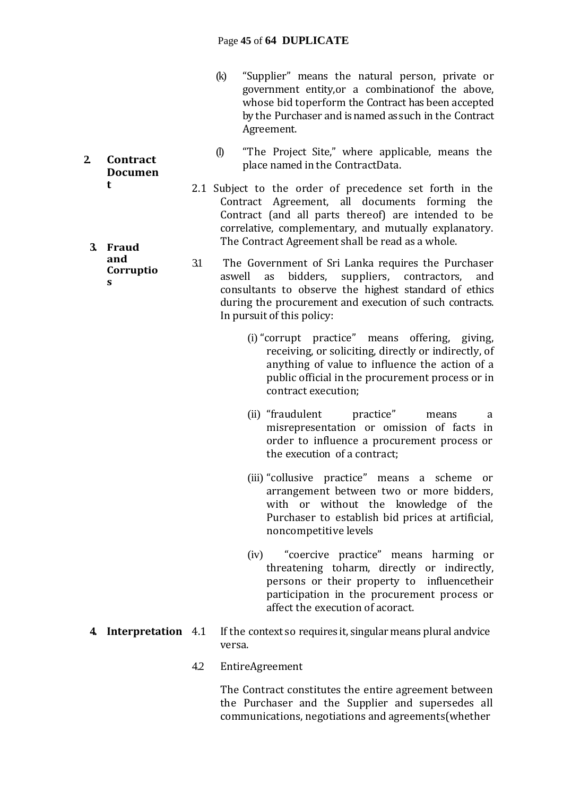- (k) "Supplier" means the natural person, private or government entity,or a combinationof the above, whose bid toperform the Contract has been accepted by the Purchaser and is named as such in the Contract Agreement.
- (l) "The Project Site," where applicable, means the place named in the ContractData.
- 2.1 Subject to the order of precedence set forth in the Contract Agreement, all documents forming the Contract (and all parts thereof) are intended to be correlative, complementary, and mutually explanatory. The Contract Agreement shall be read as a whole.
- 3.1 The Government of Sri Lanka requires the Purchaser aswell as bidders, suppliers, contractors, and consultants to observe the highest standard of ethics during the procurement and execution of such contracts. In pursuit of this policy:
	- (i) "corrupt practice" means offering, giving, receiving, or soliciting, directly or indirectly, of anything of value to influence the action of a public official in the procurement process or in contract execution;
	- (ii) "fraudulent practice" means a misrepresentation or omission of facts in order to influence a procurement process or the execution of a contract;
	- (iii) "collusive practice" means a scheme or arrangement between two or more bidders, with or without the knowledge of the Purchaser to establish bid prices at artificial, noncompetitive levels
	- (iv) "coercive practice" means harming or threatening toharm, directly or indirectly, persons or their property to influencetheir participation in the procurement process or affect the execution of acoract.
- **4. Interpretation** 4.1 If the context so requires it, singular means plural andvice versa.
	- 4.2 EntireAgreement

The Contract constitutes the entire agreement between the Purchaser and the Supplier and supersedes all communications, negotiations and agreements(whether

**2. Contract Documen t**

**3. Fraud and Corruptio s**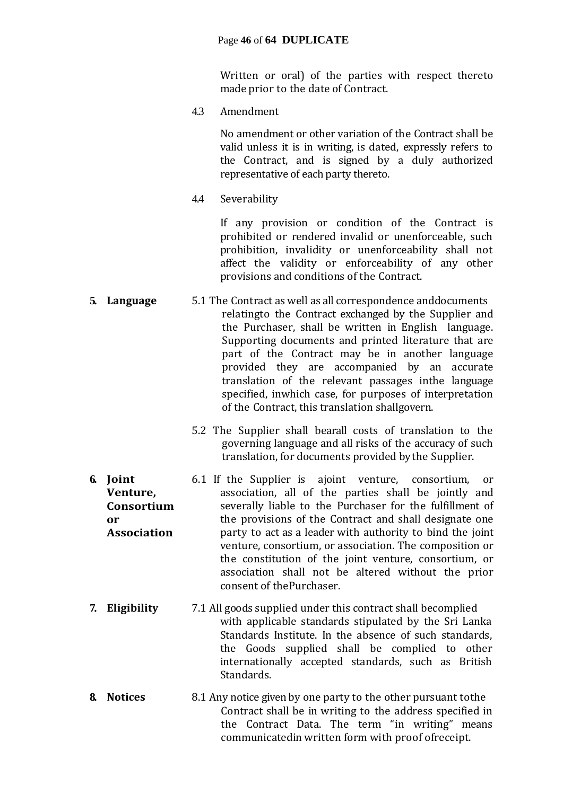Written or oral) of the parties with respect thereto made prior to the date of Contract.

4.3 Amendment

No amendment or other variation of the Contract shall be valid unless it is in writing, is dated, expressly refers to the Contract, and is signed by a duly authorized representative of each party thereto.

4.4 Severability

If any provision or condition of the Contract is prohibited or rendered invalid or unenforceable, such prohibition, invalidity or unenforceability shall not affect the validity or enforceability of any other provisions and conditions of the Contract.

- **5. Language** 5.1 The Contract as well as all correspondence anddocuments relatingto the Contract exchanged by the Supplier and the Purchaser, shall be written in English language. Supporting documents and printed literature that are part of the Contract may be in another language provided they are accompanied by an accurate translation of the relevant passages inthe language specified, inwhich case, for purposes of interpretation of the Contract, this translation shallgovern.
	- 5.2 The Supplier shall bearall costs of translation to the governing language and all risks of the accuracy of such translation, for documents provided by the Supplier.
- **6. Joint Venture, Consortium or Association** 6.1 If the Supplier is ajoint venture, consortium, or association, all of the parties shall be jointly and severally liable to the Purchaser for the fulfillment of the provisions of the Contract and shall designate one party to act as a leader with authority to bind the joint venture, consortium, or association. The composition or the constitution of the joint venture, consortium, or association shall not be altered without the prior consent of thePurchaser.
- **7. Eligibility** 7.1 All goods supplied under this contract shall becomplied with applicable standards stipulated by the Sri Lanka Standards Institute. In the absence of such standards, the Goods supplied shall be complied to other internationally accepted standards, such as British Standards.
- **8. Notices** 8.1 Any notice given by one party to the other pursuant tothe Contract shall be in writing to the address specified in the Contract Data. The term "in writing" means communicatedin written form with proof ofreceipt.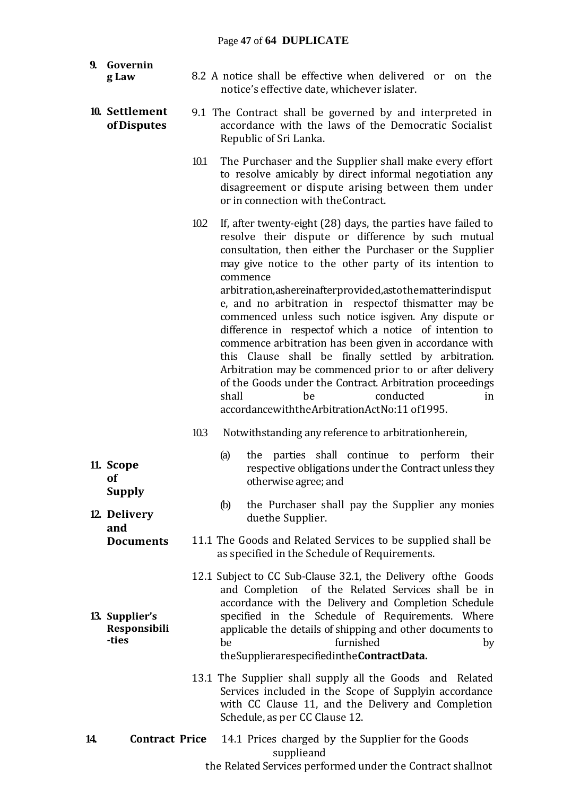#### Page **47** of **64 DUPLICATE**

| 9. | Governin<br>g Law                       |      | 8.2 A notice shall be effective when delivered or on the                                                                                                                                                                                                                                                                                                                                                                                                                                                                                                                                                                                                                                                                                                                                                                  |
|----|-----------------------------------------|------|---------------------------------------------------------------------------------------------------------------------------------------------------------------------------------------------------------------------------------------------------------------------------------------------------------------------------------------------------------------------------------------------------------------------------------------------------------------------------------------------------------------------------------------------------------------------------------------------------------------------------------------------------------------------------------------------------------------------------------------------------------------------------------------------------------------------------|
|    |                                         |      | notice's effective date, whichever islater.                                                                                                                                                                                                                                                                                                                                                                                                                                                                                                                                                                                                                                                                                                                                                                               |
|    | 10. Settlement<br>of Disputes           |      | 9.1 The Contract shall be governed by and interpreted in<br>accordance with the laws of the Democratic Socialist<br>Republic of Sri Lanka.                                                                                                                                                                                                                                                                                                                                                                                                                                                                                                                                                                                                                                                                                |
|    |                                         | 10.1 | The Purchaser and the Supplier shall make every effort<br>to resolve amicably by direct informal negotiation any<br>disagreement or dispute arising between them under<br>or in connection with the Contract.                                                                                                                                                                                                                                                                                                                                                                                                                                                                                                                                                                                                             |
|    |                                         | 10.2 | If, after twenty-eight (28) days, the parties have failed to<br>resolve their dispute or difference by such mutual<br>consultation, then either the Purchaser or the Supplier<br>may give notice to the other party of its intention to<br>commence<br>arbitration, ashereinafter provided, asto the matter indisput<br>e, and no arbitration in respectof thismatter may be<br>commenced unless such notice isgiven. Any dispute or<br>difference in respectof which a notice of intention to<br>commence arbitration has been given in accordance with<br>this Clause shall be finally settled by arbitration.<br>Arbitration may be commenced prior to or after delivery<br>of the Goods under the Contract. Arbitration proceedings<br>conducted<br>shall<br>be<br>in<br>accordancewiththeArbitrationActNo:11 of1995. |
|    |                                         | 103  | Notwithstanding any reference to arbitrationherein,                                                                                                                                                                                                                                                                                                                                                                                                                                                                                                                                                                                                                                                                                                                                                                       |
|    | 11. Scope<br>of<br><b>Supply</b>        |      | the parties shall continue to perform their<br>(a)<br>respective obligations under the Contract unless they<br>otherwise agree; and                                                                                                                                                                                                                                                                                                                                                                                                                                                                                                                                                                                                                                                                                       |
|    | 12 Delivery<br>and                      |      | the Purchaser shall pay the Supplier any monies<br>(b)<br>duethe Supplier.                                                                                                                                                                                                                                                                                                                                                                                                                                                                                                                                                                                                                                                                                                                                                |
|    | <b>Documents</b>                        |      | 11.1 The Goods and Related Services to be supplied shall be<br>as specified in the Schedule of Requirements.                                                                                                                                                                                                                                                                                                                                                                                                                                                                                                                                                                                                                                                                                                              |
|    | 13. Supplier's<br>Responsibili<br>-ties |      | 12.1 Subject to CC Sub-Clause 32.1, the Delivery of the Goods<br>and Completion of the Related Services shall be in<br>accordance with the Delivery and Completion Schedule<br>specified in the Schedule of Requirements. Where<br>applicable the details of shipping and other documents to<br>furnished<br>be<br>by<br>the Supplierarespecified in the Contract Data.                                                                                                                                                                                                                                                                                                                                                                                                                                                   |

13.1 The Supplier shall supply all the Goods and Related Services included in the Scope of Supplyin accordance with CC Clause 11, and the Delivery and Completion Schedule, as per CC Clause 12.

**14. Contract Price** 14.1 Prices charged by the Supplier for the Goods supplieand the Related Services performed under the Contract shallnot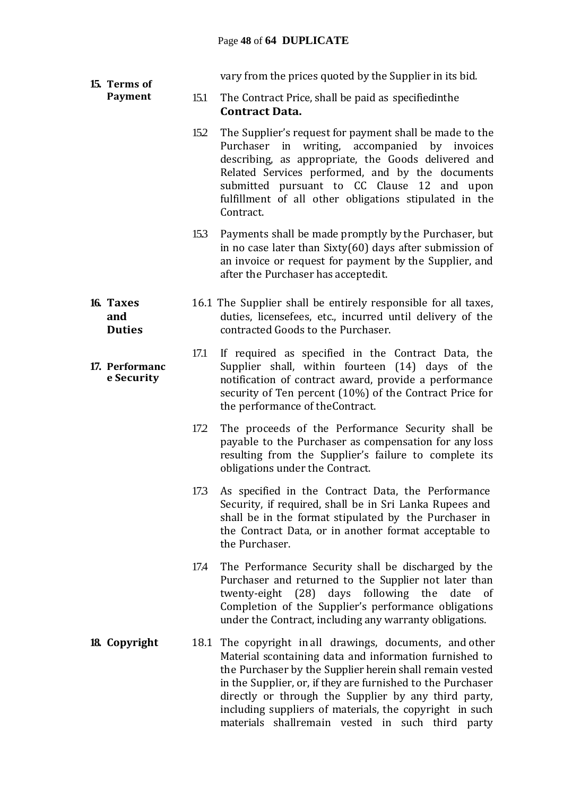#### Page **48** of **64 DUPLICATE**

vary from the prices quoted by the Supplier in its bid.

- 15.1 The Contract Price, shall be paid as specifiedinthe **Contract Data.**
	- 15.2 The Supplier's request for payment shall be made to the Purchaser in writing, accompanied by invoices describing, as appropriate, the Goods delivered and Related Services performed, and by the documents submitted pursuant to CC Clause 12 and upon fulfillment of all other obligations stipulated in the Contract.
	- 15.3 Payments shall be made promptly by the Purchaser, but in no case later than Sixty(60) days after submission of an invoice or request for payment by the Supplier, and after the Purchaser has acceptedit.
- 16.1 The Supplier shall be entirely responsible for all taxes, duties, licensefees, etc., incurred until delivery of the contracted Goods to the Purchaser.
	- 17.1 If required as specified in the Contract Data, the Supplier shall, within fourteen (14) days of the notification of contract award, provide a performance security of Ten percent (10%) of the Contract Price for the performance of theContract.
		- 17.2 The proceeds of the Performance Security shall be payable to the Purchaser as compensation for any loss resulting from the Supplier's failure to complete its obligations under the Contract.
		- 17.3 As specified in the Contract Data, the Performance Security, if required, shall be in Sri Lanka Rupees and shall be in the format stipulated by the Purchaser in the Contract Data, or in another format acceptable to the Purchaser.
		- 17.4 The Performance Security shall be discharged by the Purchaser and returned to the Supplier not later than twenty-eight (28) days following the date of Completion of the Supplier's performance obligations under the Contract, including any warranty obligations.
- **18. Copyright** 18.1 The copyright in all drawings, documents, and other Material scontaining data and information furnished to the Purchaser by the Supplier herein shall remain vested in the Supplier, or, if they are furnished to the Purchaser directly or through the Supplier by any third party, including suppliers of materials, the copyright in such materials shallremain vested in such third party

#### **16. Taxes and Duties**

**15. Terms of Payment**

#### **17. Performanc e Security**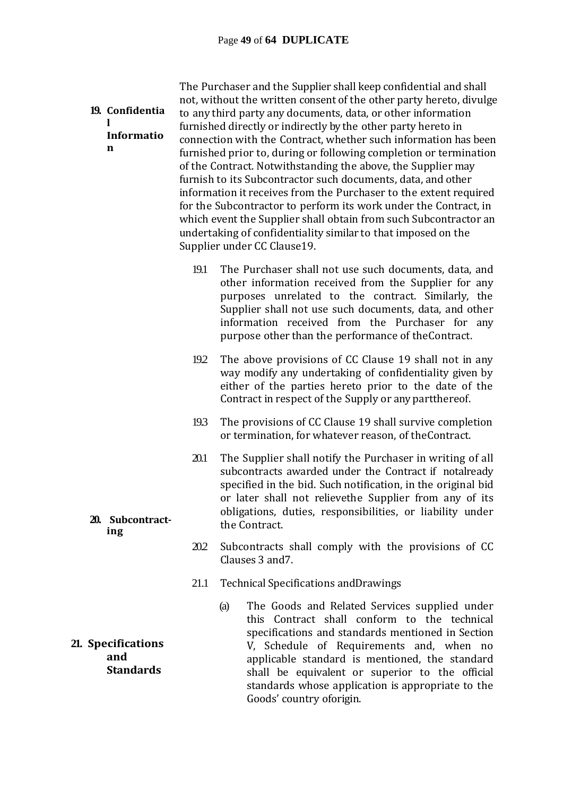| n                         | 19. Confidentia<br>Informatio |      | The Purchaser and the Supplier shall keep confidential and shall<br>not, without the written consent of the other party hereto, divulge<br>to any third party any documents, data, or other information<br>furnished directly or indirectly by the other party hereto in<br>connection with the Contract, whether such information has been<br>furnished prior to, during or following completion or termination<br>of the Contract. Notwithstanding the above, the Supplier may<br>furnish to its Subcontractor such documents, data, and other<br>information it receives from the Purchaser to the extent required<br>for the Subcontractor to perform its work under the Contract, in<br>which event the Supplier shall obtain from such Subcontractor an<br>undertaking of confidentiality similar to that imposed on the<br>Supplier under CC Clause19. |
|---------------------------|-------------------------------|------|---------------------------------------------------------------------------------------------------------------------------------------------------------------------------------------------------------------------------------------------------------------------------------------------------------------------------------------------------------------------------------------------------------------------------------------------------------------------------------------------------------------------------------------------------------------------------------------------------------------------------------------------------------------------------------------------------------------------------------------------------------------------------------------------------------------------------------------------------------------|
|                           |                               | 19.1 | The Purchaser shall not use such documents, data, and<br>other information received from the Supplier for any<br>purposes unrelated to the contract. Similarly, the<br>Supplier shall not use such documents, data, and other<br>information received from the Purchaser for any<br>purpose other than the performance of the Contract.                                                                                                                                                                                                                                                                                                                                                                                                                                                                                                                       |
|                           |                               | 192  | The above provisions of CC Clause 19 shall not in any<br>way modify any undertaking of confidentiality given by<br>either of the parties hereto prior to the date of the<br>Contract in respect of the Supply or any part there of.                                                                                                                                                                                                                                                                                                                                                                                                                                                                                                                                                                                                                           |
|                           |                               | 193  | The provisions of CC Clause 19 shall survive completion<br>or termination, for whatever reason, of the Contract.                                                                                                                                                                                                                                                                                                                                                                                                                                                                                                                                                                                                                                                                                                                                              |
| ing                       | 20. Subcontract-              | 20.1 | The Supplier shall notify the Purchaser in writing of all<br>subcontracts awarded under the Contract if notalready<br>specified in the bid. Such notification, in the original bid<br>or later shall not relievethe Supplier from any of its<br>obligations, duties, responsibilities, or liability under<br>the Contract.                                                                                                                                                                                                                                                                                                                                                                                                                                                                                                                                    |
|                           |                               | 20.2 | Subcontracts shall comply with the provisions of CC<br>Clauses 3 and 7.                                                                                                                                                                                                                                                                                                                                                                                                                                                                                                                                                                                                                                                                                                                                                                                       |
|                           |                               | 21.1 | <b>Technical Specifications and Drawings</b>                                                                                                                                                                                                                                                                                                                                                                                                                                                                                                                                                                                                                                                                                                                                                                                                                  |
| 21. Specifications<br>and | <b>Standards</b>              |      | The Goods and Related Services supplied under<br>(a)<br>this Contract shall conform to the technical<br>specifications and standards mentioned in Section<br>V, Schedule of Requirements and, when no<br>applicable standard is mentioned, the standard<br>shall be equivalent or superior to the official<br>standards whose application is appropriate to the<br>Goods' country oforigin.                                                                                                                                                                                                                                                                                                                                                                                                                                                                   |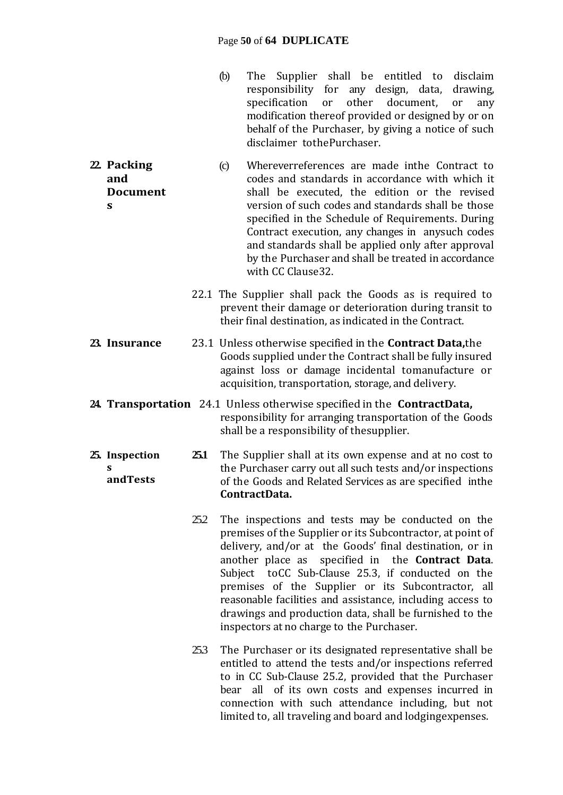#### Page **50** of **64 DUPLICATE**

- (b) The Supplier shall be entitled to disclaim responsibility for any design, data, drawing, specification or other document, or any modification thereof provided or designed by or on behalf of the Purchaser, by giving a notice of such disclaimer tothePurchaser.
- **22. Packing and Document s** (c) Whereverreferences are made inthe Contract to codes and standards in accordance with which it shall be executed, the edition or the revised version of such codes and standards shall be those specified in the Schedule of Requirements. During Contract execution, any changes in anysuch codes and standards shall be applied only after approval by the Purchaser and shall be treated in accordance with CC Clause32.
	- 22.1 The Supplier shall pack the Goods as is required to prevent their damage or deterioration during transit to their final destination, as indicated in the Contract.
- **23. Insurance** 23.1 Unless otherwise specified in the **Contract Data,**the Goods supplied under the Contract shall be fully insured against loss or damage incidental tomanufacture or acquisition, transportation, storage, and delivery.
- **24. Transportation** 24.1 Unless otherwise specified in the **ContractData,** responsibility for arranging transportation of the Goods shall be a responsibility of thesupplier.

**25. Inspection s andTests 25.1** The Supplier shall at its own expense and at no cost to the Purchaser carry out all such tests and/or inspections of the Goods and Related Services as are specified inthe **ContractData.**

- 252 The inspections and tests may be conducted on the premises of the Supplier or its Subcontractor, at point of delivery, and/or at the Goods' final destination, or in another place as specified in the **Contract Data**. Subject toCC Sub-Clause 25.3, if conducted on the premises of the Supplier or its Subcontractor, all reasonable facilities and assistance, including access to drawings and production data, shall be furnished to the inspectors at no charge to the Purchaser.
- 25.3 The Purchaser or its designated representative shall be entitled to attend the tests and/or inspections referred to in CC Sub-Clause 25.2, provided that the Purchaser bear all of its own costs and expenses incurred in connection with such attendance including, but not limited to, all traveling and board and lodgingexpenses.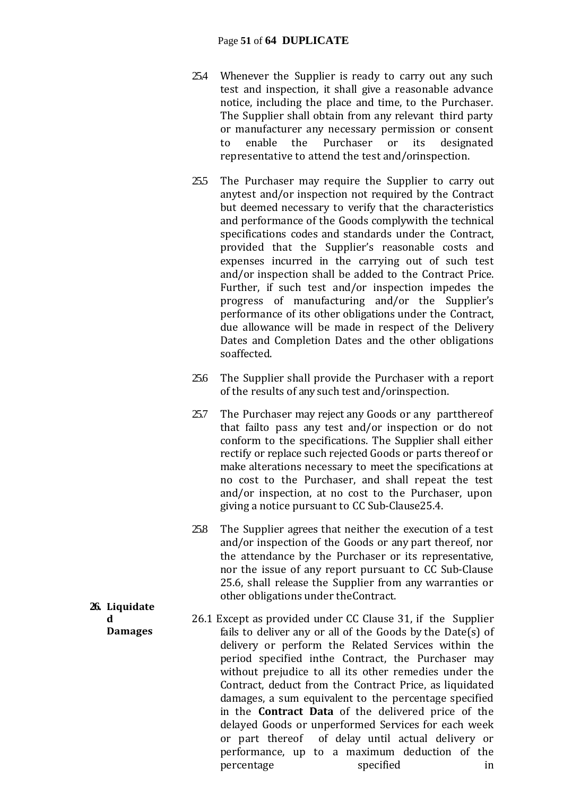#### Page **51** of **64 DUPLICATE**

- 25.4 Whenever the Supplier is ready to carry out any such test and inspection, it shall give a reasonable advance notice, including the place and time, to the Purchaser. The Supplier shall obtain from any relevant third party or manufacturer any necessary permission or consent to enable the Purchaser or its designated representative to attend the test and/orinspection.
- 25.5 The Purchaser may require the Supplier to carry out anytest and/or inspection not required by the Contract but deemed necessary to verify that the characteristics and performance of the Goods complywith the technical specifications codes and standards under the Contract, provided that the Supplier's reasonable costs and expenses incurred in the carrying out of such test and/or inspection shall be added to the Contract Price. Further, if such test and/or inspection impedes the progress of manufacturing and/or the Supplier's performance of its other obligations under the Contract, due allowance will be made in respect of the Delivery Dates and Completion Dates and the other obligations soaffected.
- 25.6 The Supplier shall provide the Purchaser with a report of the results of any such test and/orinspection.
- 25.7 The Purchaser may reject any Goods or any partthereof that failto pass any test and/or inspection or do not conform to the specifications. The Supplier shall either rectify or replace such rejected Goods or parts thereof or make alterations necessary to meet the specifications at no cost to the Purchaser, and shall repeat the test and/or inspection, at no cost to the Purchaser, upon giving a notice pursuant to CC Sub-Clause25.4.
- 25.8 The Supplier agrees that neither the execution of a test and/or inspection of the Goods or any part thereof, nor the attendance by the Purchaser or its representative, nor the issue of any report pursuant to CC Sub-Clause 25.6, shall release the Supplier from any warranties or other obligations under theContract.
- 26.1 Except as provided under CC Clause 31, if the Supplier fails to deliver any or all of the Goods by the Date(s) of delivery or perform the Related Services within the period specified inthe Contract, the Purchaser may without prejudice to all its other remedies under the Contract, deduct from the Contract Price, as liquidated damages, a sum equivalent to the percentage specified in the **Contract Data** of the delivered price of the delayed Goods or unperformed Services for each week or part thereof of delay until actual delivery or performance, up to a maximum deduction of the percentage specified in
- **26. Liquidate d Damages**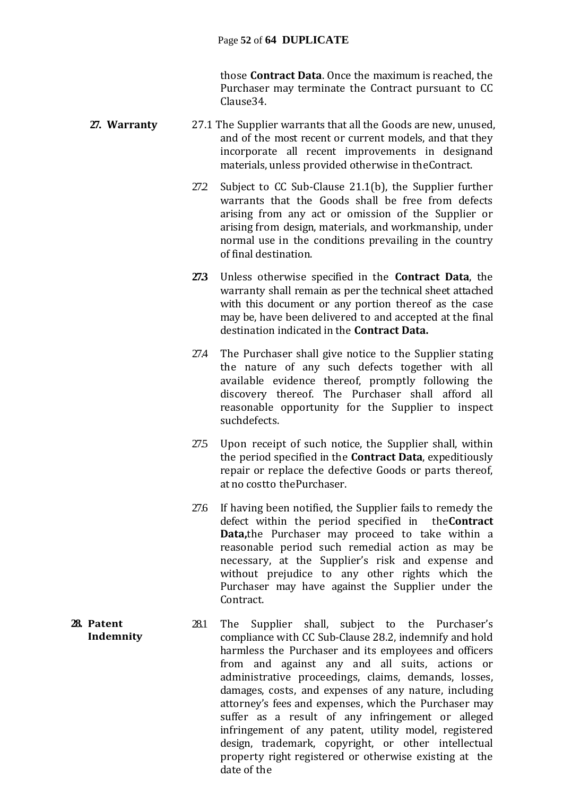those **Contract Data**. Once the maximum is reached, the Purchaser may terminate the Contract pursuant to CC Clause34.

- **27. Warranty** 27.1 The Supplier warrants that all the Goods are new, unused, and of the most recent or current models, and that they incorporate all recent improvements in designand materials, unless provided otherwise in theContract.
	- 27.2 Subject to CC Sub-Clause 21.1(b), the Supplier further warrants that the Goods shall be free from defects arising from any act or omission of the Supplier or arising from design, materials, and workmanship, under normal use in the conditions prevailing in the country of final destination.
	- **27.3** Unless otherwise specified in the **Contract Data**, the warranty shall remain as per the technical sheet attached with this document or any portion thereof as the case may be, have been delivered to and accepted at the final destination indicated in the **Contract Data.**
	- 27.4 The Purchaser shall give notice to the Supplier stating the nature of any such defects together with all available evidence thereof, promptly following the discovery thereof. The Purchaser shall afford all reasonable opportunity for the Supplier to inspect suchdefects.
	- 27.5 Upon receipt of such notice, the Supplier shall, within the period specified in the **Contract Data**, expeditiously repair or replace the defective Goods or parts thereof, at no costto thePurchaser.
	- 27.6 If having been notified, the Supplier fails to remedy the defect within the period specified in the**Contract Data,**the Purchaser may proceed to take within a reasonable period such remedial action as may be necessary, at the Supplier's risk and expense and without prejudice to any other rights which the Purchaser may have against the Supplier under the Contract.
- **28. Patent Indemnity** 28.1 The Supplier shall, subject to the Purchaser's compliance with CC Sub-Clause 28.2, indemnify and hold harmless the Purchaser and its employees and officers from and against any and all suits, actions or administrative proceedings, claims, demands, losses, damages, costs, and expenses of any nature, including attorney's fees and expenses, which the Purchaser may suffer as a result of any infringement or alleged infringement of any patent, utility model, registered design, trademark, copyright, or other intellectual property right registered or otherwise existing at the date of the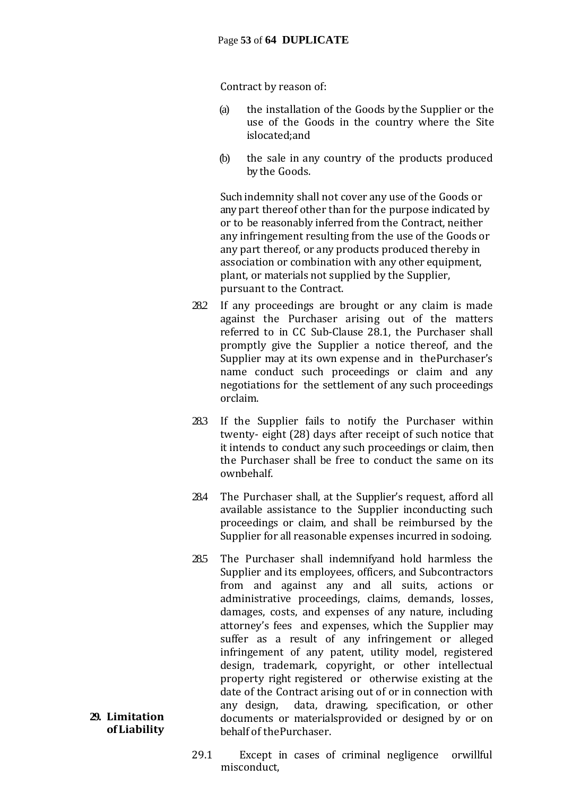#### Page **53** of **64 DUPLICATE**

Contract by reason of:

- (a) the installation of the Goods by the Supplier or the use of the Goods in the country where the Site islocated;and
- (b) the sale in any country of the products produced by the Goods.

Such indemnity shall not cover any use of the Goods or any part thereof other than for the purpose indicated by or to be reasonably inferred from the Contract, neither any infringement resulting from the use of the Goods or any part thereof, or any products produced thereby in association or combination with any other equipment, plant, or materials not supplied by the Supplier, pursuant to the Contract.

- 28.2 If any proceedings are brought or any claim is made against the Purchaser arising out of the matters referred to in CC Sub-Clause 28.1, the Purchaser shall promptly give the Supplier a notice thereof, and the Supplier may at its own expense and in thePurchaser's name conduct such proceedings or claim and any negotiations for the settlement of any such proceedings orclaim.
- 28.3 If the Supplier fails to notify the Purchaser within twenty- eight (28) days after receipt of such notice that it intends to conduct any such proceedings or claim, then the Purchaser shall be free to conduct the same on its ownbehalf.
- 28.4 The Purchaser shall, at the Supplier's request, afford all available assistance to the Supplier inconducting such proceedings or claim, and shall be reimbursed by the Supplier for all reasonable expenses incurred in sodoing.
- 28.5 The Purchaser shall indemnifyand hold harmless the Supplier and its employees, officers, and Subcontractors from and against any and all suits, actions or administrative proceedings, claims, demands, losses, damages, costs, and expenses of any nature, including attorney's fees and expenses, which the Supplier may suffer as a result of any infringement or alleged infringement of any patent, utility model, registered design, trademark, copyright, or other intellectual property right registered or otherwise existing at the date of the Contract arising out of or in connection with any design, data, drawing, specification, or other documents or materialsprovided or designed by or on behalf of thePurchaser.
- 29.1 Except in cases of criminal negligence orwillful misconduct,

#### **29. Limitation of Liability**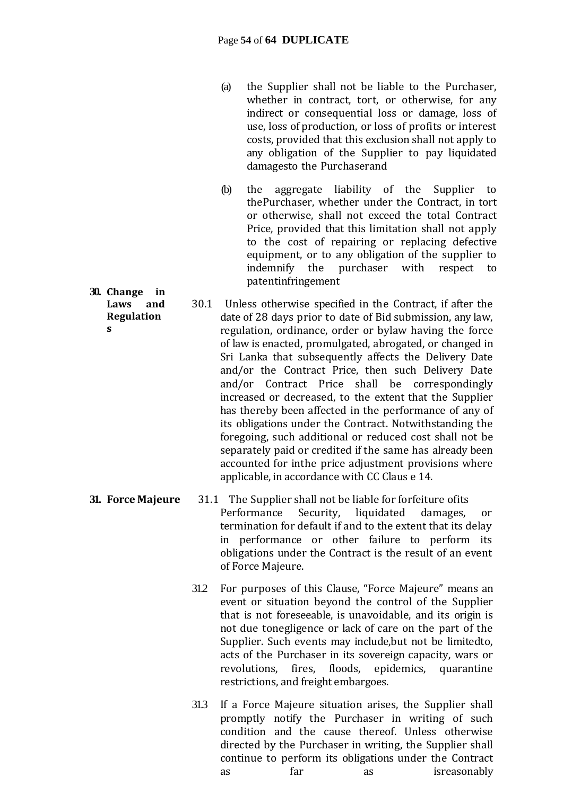- (a) the Supplier shall not be liable to the Purchaser, whether in contract, tort, or otherwise, for any indirect or consequential loss or damage, loss of use, loss of production, or loss of profits or interest costs, provided that this exclusion shall not apply to any obligation of the Supplier to pay liquidated damagesto the Purchaserand
- (b) the aggregate liability of the Supplier to thePurchaser, whether under the Contract, in tort or otherwise, shall not exceed the total Contract Price, provided that this limitation shall not apply to the cost of repairing or replacing defective equipment, or to any obligation of the supplier to indemnify the purchaser with respect to patentinfringement
- 30.1 Unless otherwise specified in the Contract, if after the date of 28 days prior to date of Bid submission, any law, regulation, ordinance, order or bylaw having the force of law is enacted, promulgated, abrogated, or changed in Sri Lanka that subsequently affects the Delivery Date and/or the Contract Price, then such Delivery Date and/or Contract Price shall be correspondingly increased or decreased, to the extent that the Supplier has thereby been affected in the performance of any of its obligations under the Contract. Notwithstanding the foregoing, such additional or reduced cost shall not be separately paid or credited if the same has already been accounted for inthe price adjustment provisions where applicable, in accordance with CC Claus e 14.
- **31. Force Majeure** 31.1 The Supplier shall not be liable for forfeiture ofits Performance Security, liquidated damages, or termination for default if and to the extent that its delay in performance or other failure to perform its obligations under the Contract is the result of an event of Force Majeure.
	- 31.2 For purposes of this Clause, "Force Majeure" means an event or situation beyond the control of the Supplier that is not foreseeable, is unavoidable, and its origin is not due tonegligence or lack of care on the part of the Supplier. Such events may include,but not be limitedto, acts of the Purchaser in its sovereign capacity, wars or revolutions, fires, floods, epidemics, quarantine restrictions, and freight embargoes.
	- 31.3 If a Force Majeure situation arises, the Supplier shall promptly notify the Purchaser in writing of such condition and the cause thereof. Unless otherwise directed by the Purchaser in writing, the Supplier shall continue to perform its obligations under the Contract as far as isreasonably

**30. Change in Laws and Regulation**

**s**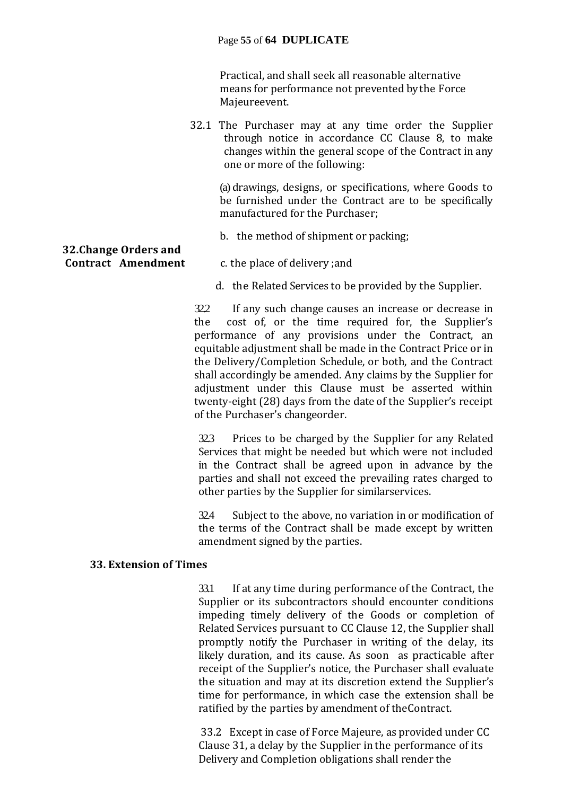#### Page **55** of **64 DUPLICATE**

Practical, and shall seek all reasonable alternative means for performance not prevented by the Force Majeureevent.

32.1 The Purchaser may at any time order the Supplier through notice in accordance CC Clause 8, to make changes within the general scope of the Contract in any one or more of the following:

(a) drawings, designs, or specifications, where Goods to be furnished under the Contract are to be specifically manufactured for the Purchaser;

b. the method of shipment or packing;

# **32.Change Orders and**

- **Contract Amendment** c. the place of delivery ;and
	- d. the Related Services to be provided by the Supplier.

32.2 If any such change causes an increase or decrease in the cost of, or the time required for, the Supplier's performance of any provisions under the Contract, an equitable adjustment shall be made in the Contract Price or in the Delivery/Completion Schedule, or both, and the Contract shall accordingly be amended. Any claims by the Supplier for adjustment under this Clause must be asserted within twenty-eight (28) days from the date of the Supplier's receipt of the Purchaser's changeorder.

32.3 Prices to be charged by the Supplier for any Related Services that might be needed but which were not included in the Contract shall be agreed upon in advance by the parties and shall not exceed the prevailing rates charged to other parties by the Supplier for similarservices.

32.4 Subject to the above, no variation in or modification of the terms of the Contract shall be made except by written amendment signed by the parties.

#### **33. Extension of Times**

33.1 If at any time during performance of the Contract, the Supplier or its subcontractors should encounter conditions impeding timely delivery of the Goods or completion of Related Services pursuant to CC Clause 12, the Supplier shall promptly notify the Purchaser in writing of the delay, its likely duration, and its cause. As soon as practicable after receipt of the Supplier's notice, the Purchaser shall evaluate the situation and may at its discretion extend the Supplier's time for performance, in which case the extension shall be ratified by the parties by amendment of theContract.

33.2 Except in case of Force Majeure, as provided under CC Clause 31, a delay by the Supplier in the performance of its Delivery and Completion obligations shall render the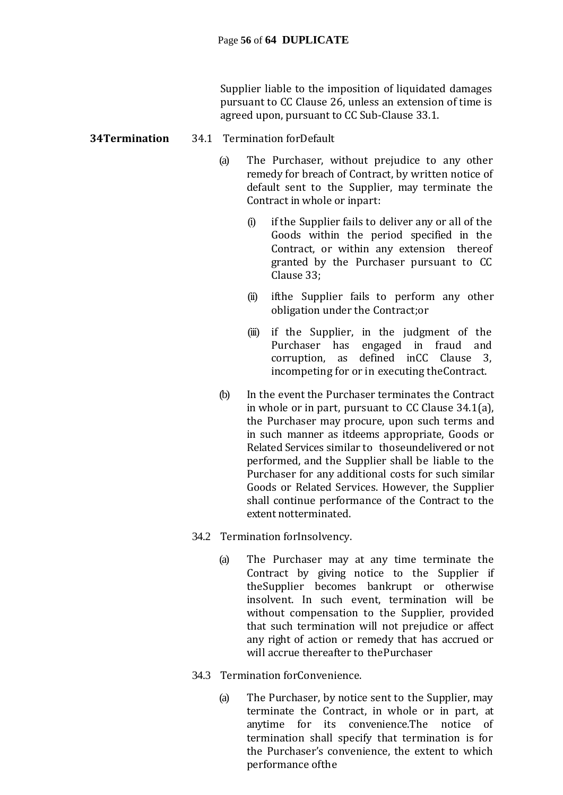Supplier liable to the imposition of liquidated damages pursuant to CC Clause 26, unless an extension of time is agreed upon, pursuant to CC Sub-Clause 33.1.

#### **34Termination** 34.1 Termination forDefault

- (a) The Purchaser, without prejudice to any other remedy for breach of Contract, by written notice of default sent to the Supplier, may terminate the Contract in whole or inpart:
	- (i) if the Supplier fails to deliver any or all of the Goods within the period specified in the Contract, or within any extension thereof granted by the Purchaser pursuant to CC Clause 33;
	- (ii) ifthe Supplier fails to perform any other obligation under the Contract;or
	- (iii) if the Supplier, in the judgment of the Purchaser has engaged in fraud and corruption, as defined inCC Clause 3, incompeting for or in executing theContract.
- (b) In the event the Purchaser terminates the Contract in whole or in part, pursuant to CC Clause 34.1(a), the Purchaser may procure, upon such terms and in such manner as itdeems appropriate, Goods or Related Services similar to thoseundelivered or not performed, and the Supplier shall be liable to the Purchaser for any additional costs for such similar Goods or Related Services. However, the Supplier shall continue performance of the Contract to the extent notterminated.
- 34.2 Termination forInsolvency.
	- (a) The Purchaser may at any time terminate the Contract by giving notice to the Supplier if theSupplier becomes bankrupt or otherwise insolvent. In such event, termination will be without compensation to the Supplier, provided that such termination will not prejudice or affect any right of action or remedy that has accrued or will accrue thereafter to thePurchaser
- 34.3 Termination forConvenience.
	- (a) The Purchaser, by notice sent to the Supplier, may terminate the Contract, in whole or in part, at anytime for its convenience.The notice of termination shall specify that termination is for the Purchaser's convenience, the extent to which performance ofthe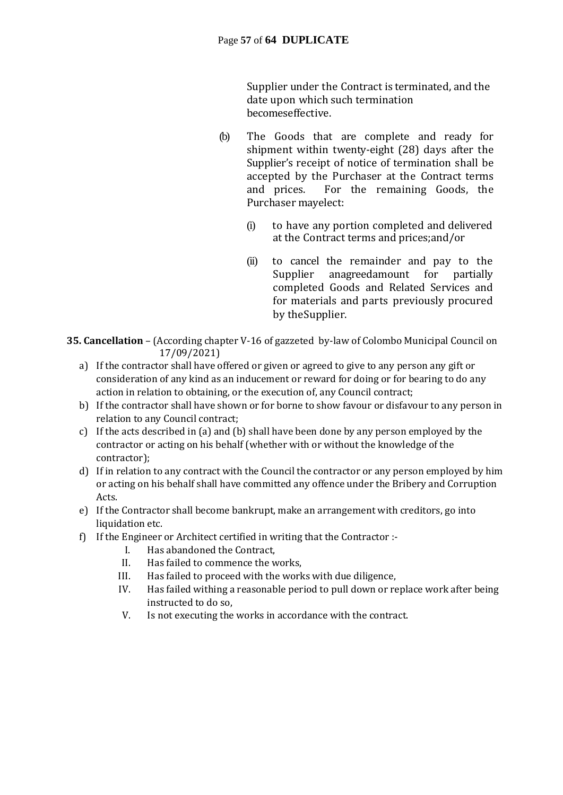Supplier under the Contract is terminated, and the date upon which such termination becomeseffective.

- (b) The Goods that are complete and ready for shipment within twenty-eight (28) days after the Supplier's receipt of notice of termination shall be accepted by the Purchaser at the Contract terms and prices. For the remaining Goods, the Purchaser mayelect:
	- (i) to have any portion completed and delivered at the Contract terms and prices;and/or
	- (ii) to cancel the remainder and pay to the Supplier anagreedamount for partially completed Goods and Related Services and for materials and parts previously procured by theSupplier.
- **35. Cancellation** (According chapter V-16 of gazzeted by-law of Colombo Municipal Council on 17/09/2021)
	- a) If the contractor shall have offered or given or agreed to give to any person any gift or consideration of any kind as an inducement or reward for doing or for bearing to do any action in relation to obtaining, or the execution of, any Council contract;
	- b) If the contractor shall have shown or for borne to show favour or disfavour to any person in relation to any Council contract;
	- c) If the acts described in (a) and (b) shall have been done by any person employed by the contractor or acting on his behalf (whether with or without the knowledge of the contractor);
	- d) If in relation to any contract with the Council the contractor or any person employed by him or acting on his behalf shall have committed any offence under the Bribery and Corruption Acts.
	- e) If the Contractor shall become bankrupt, make an arrangement with creditors, go into liquidation etc.
	- f) If the Engineer or Architect certified in writing that the Contractor :-
		- I. Has abandoned the Contract,
		- II. Has failed to commence the works,
		- III. Has failed to proceed with the works with due diligence,
		- IV. Has failed withing a reasonable period to pull down or replace work after being instructed to do so,
		- V. Is not executing the works in accordance with the contract.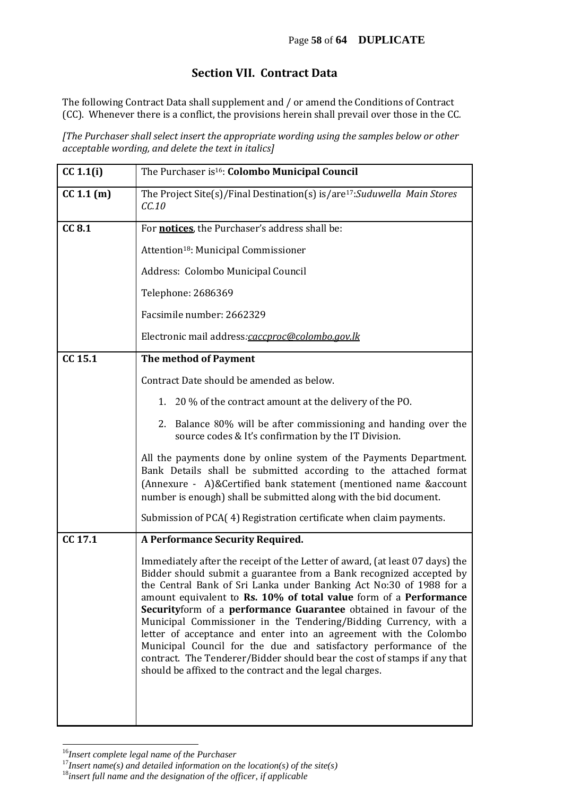#### **Section VII. Contract Data**

The following Contract Data shall supplement and / or amend the Conditions of Contract (CC). Whenever there is a conflict, the provisions herein shall prevail over those in the CC*.* 

*[The Purchaser shall select insert the appropriate wording using the samples below or other acceptable wording, and delete the text in italics]*

| CC 1.1(i)  | The Purchaser is <sup>16</sup> : Colombo Municipal Council                                                                                                                                                                                                                                                                                                                                                                                                                                                                                                                                                                                                                                                                 |
|------------|----------------------------------------------------------------------------------------------------------------------------------------------------------------------------------------------------------------------------------------------------------------------------------------------------------------------------------------------------------------------------------------------------------------------------------------------------------------------------------------------------------------------------------------------------------------------------------------------------------------------------------------------------------------------------------------------------------------------------|
| CC 1.1 (m) | The Project Site(s)/Final Destination(s) is/are <sup>17</sup> : Suduwella Main Stores<br>CC.10                                                                                                                                                                                                                                                                                                                                                                                                                                                                                                                                                                                                                             |
| CC 8.1     | For <b>notices</b> , the Purchaser's address shall be:                                                                                                                                                                                                                                                                                                                                                                                                                                                                                                                                                                                                                                                                     |
|            | Attention <sup>18</sup> : Municipal Commissioner                                                                                                                                                                                                                                                                                                                                                                                                                                                                                                                                                                                                                                                                           |
|            | Address: Colombo Municipal Council                                                                                                                                                                                                                                                                                                                                                                                                                                                                                                                                                                                                                                                                                         |
|            | Telephone: 2686369                                                                                                                                                                                                                                                                                                                                                                                                                                                                                                                                                                                                                                                                                                         |
|            | Facsimile number: 2662329                                                                                                                                                                                                                                                                                                                                                                                                                                                                                                                                                                                                                                                                                                  |
|            | Electronic mail address:caccproc@colombo.gov.lk                                                                                                                                                                                                                                                                                                                                                                                                                                                                                                                                                                                                                                                                            |
| CC 15.1    | The method of Payment                                                                                                                                                                                                                                                                                                                                                                                                                                                                                                                                                                                                                                                                                                      |
|            | Contract Date should be amended as below.                                                                                                                                                                                                                                                                                                                                                                                                                                                                                                                                                                                                                                                                                  |
|            | 1. 20 % of the contract amount at the delivery of the PO.                                                                                                                                                                                                                                                                                                                                                                                                                                                                                                                                                                                                                                                                  |
|            | 2. Balance 80% will be after commissioning and handing over the<br>source codes & It's confirmation by the IT Division.                                                                                                                                                                                                                                                                                                                                                                                                                                                                                                                                                                                                    |
|            | All the payments done by online system of the Payments Department.<br>Bank Details shall be submitted according to the attached format<br>(Annexure - A)&Certified bank statement (mentioned name &account<br>number is enough) shall be submitted along with the bid document.                                                                                                                                                                                                                                                                                                                                                                                                                                            |
|            | Submission of PCA(4) Registration certificate when claim payments.                                                                                                                                                                                                                                                                                                                                                                                                                                                                                                                                                                                                                                                         |
| CC 17.1    | <b>A Performance Security Required.</b>                                                                                                                                                                                                                                                                                                                                                                                                                                                                                                                                                                                                                                                                                    |
|            | Immediately after the receipt of the Letter of award, (at least 07 days) the<br>Bidder should submit a guarantee from a Bank recognized accepted by<br>the Central Bank of Sri Lanka under Banking Act No:30 of 1988 for a<br>amount equivalent to Rs. 10% of total value form of a Performance<br>Securityform of a performance Guarantee obtained in favour of the<br>Municipal Commissioner in the Tendering/Bidding Currency, with a<br>letter of acceptance and enter into an agreement with the Colombo<br>Municipal Council for the due and satisfactory performance of the<br>contract. The Tenderer/Bidder should bear the cost of stamps if any that<br>should be affixed to the contract and the legal charges. |
|            |                                                                                                                                                                                                                                                                                                                                                                                                                                                                                                                                                                                                                                                                                                                            |

<sup>16</sup>*Insert complete legal name of the Purchaser*

l

<sup>17</sup>*Insert name(s) and detailed information on the location(s) of the site(s)*

<sup>18</sup>*insert full name and the designation of the officer, if applicable*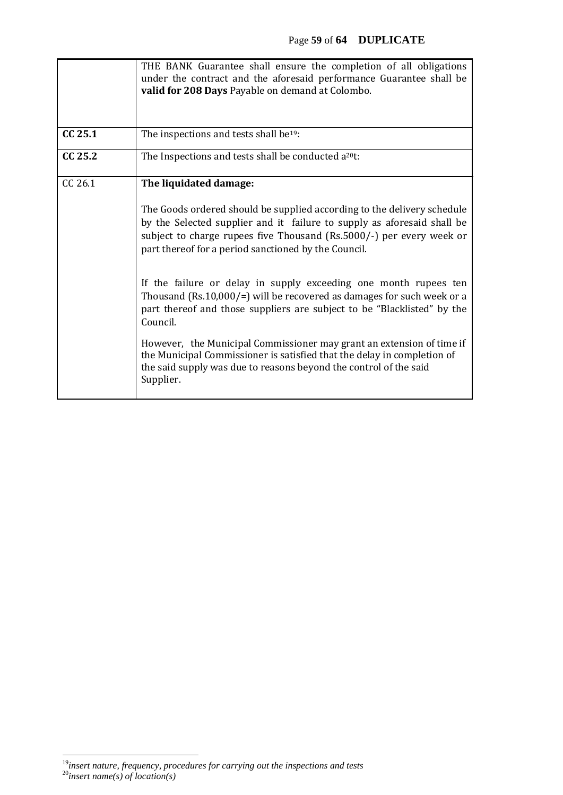|         | THE BANK Guarantee shall ensure the completion of all obligations<br>under the contract and the aforesaid performance Guarantee shall be<br>valid for 208 Days Payable on demand at Colombo.                                                                                       |
|---------|------------------------------------------------------------------------------------------------------------------------------------------------------------------------------------------------------------------------------------------------------------------------------------|
| CC 25.1 | The inspections and tests shall be <sup>19</sup> :                                                                                                                                                                                                                                 |
| CC 25.2 | The Inspections and tests shall be conducted a <sup>20</sup> t:                                                                                                                                                                                                                    |
| CC 26.1 | The liquidated damage:                                                                                                                                                                                                                                                             |
|         | The Goods ordered should be supplied according to the delivery schedule<br>by the Selected supplier and it failure to supply as aforesaid shall be<br>subject to charge rupees five Thousand (Rs.5000/-) per every week or<br>part thereof for a period sanctioned by the Council. |
|         | If the failure or delay in supply exceeding one month rupees ten<br>Thousand (Rs.10,000/=) will be recovered as damages for such week or a<br>part thereof and those suppliers are subject to be "Blacklisted" by the<br>Council.                                                  |
|         | However, the Municipal Commissioner may grant an extension of time if<br>the Municipal Commissioner is satisfied that the delay in completion of<br>the said supply was due to reasons beyond the control of the said<br>Supplier.                                                 |

 $\overline{a}$ <sup>19</sup>*insert nature, frequency, procedures for carrying out the inspections and tests* <sup>20</sup>*insert name(s) of location(s)*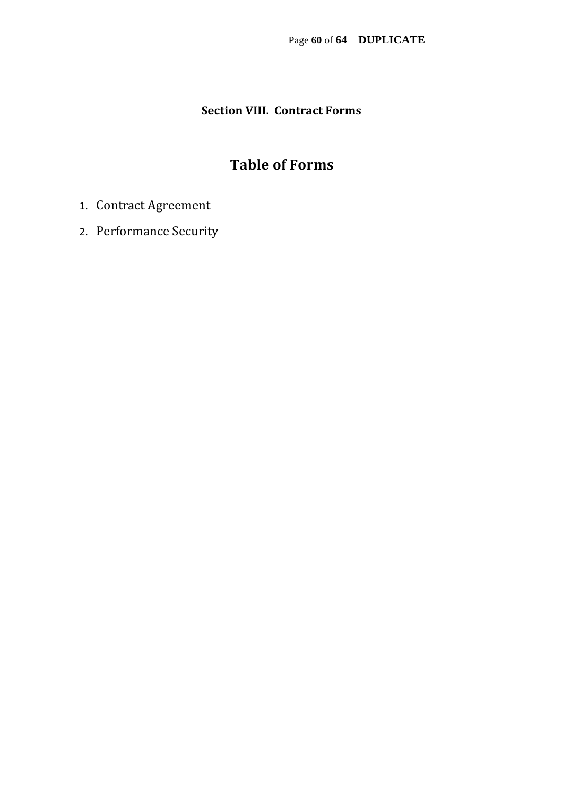### **Section VIII. Contract Forms**

### **Table of Forms**

- 1. Contract Agreement
- 2. Performance Security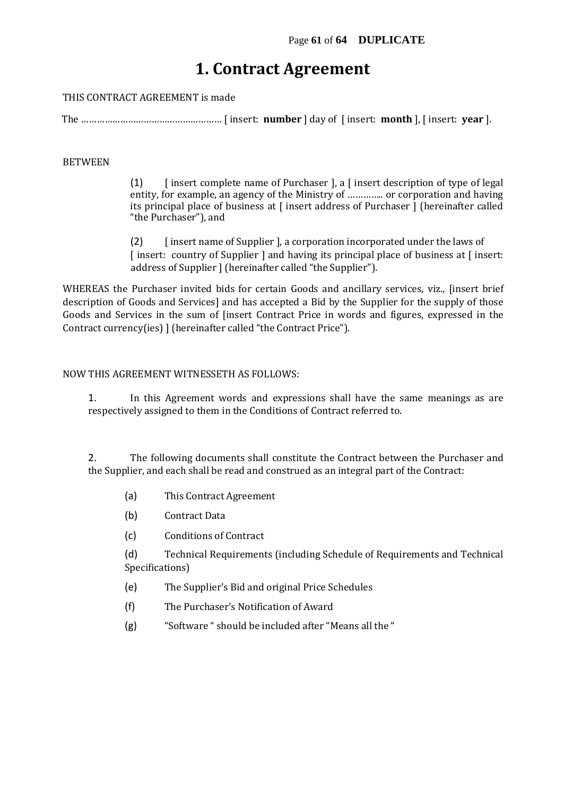### **1. Contract Agreement**

THIS CONTRACT AGREEMENT is made

The ……………………………………………… [ insert: **number** ] day of [ insert: **month** ], [ insert: **year** ].

#### BETWEEN

(1)  $\int$  [ insert complete name of Purchaser ], a  $\int$  insert description of type of legal entity, for example, an agency of the Ministry of ………….. or corporation and having its principal place of business at [ insert address of Purchaser ] (hereinafter called "the Purchaser"), and

(2) [ insert name of Supplier ], a corporation incorporated under the laws of [ insert: country of Supplier ] and having its principal place of business at [ insert: address of Supplier ] (hereinafter called "the Supplier").

WHEREAS the Purchaser invited bids for certain Goods and ancillary services, viz., [insert brief description of Goods and Services] and has accepted a Bid by the Supplier for the supply of those Goods and Services in the sum of [insert Contract Price in words and figures, expressed in the Contract currency(ies) ] (hereinafter called "the Contract Price").

#### NOW THIS AGREEMENT WITNESSETH AS FOLLOWS:

1. In this Agreement words and expressions shall have the same meanings as are respectively assigned to them in the Conditions of Contract referred to.

2. The following documents shall constitute the Contract between the Purchaser and the Supplier, and each shall be read and construed as an integral part of the Contract:

- (a) This Contract Agreement
- (b) Contract Data
- (c) Conditions of Contract

(d) Technical Requirements (including Schedule of Requirements and Technical Specifications)

- (e) The Supplier's Bid and original Price Schedules
- (f) The Purchaser's Notification of Award
- (g) "Software " should be included after "Means all the "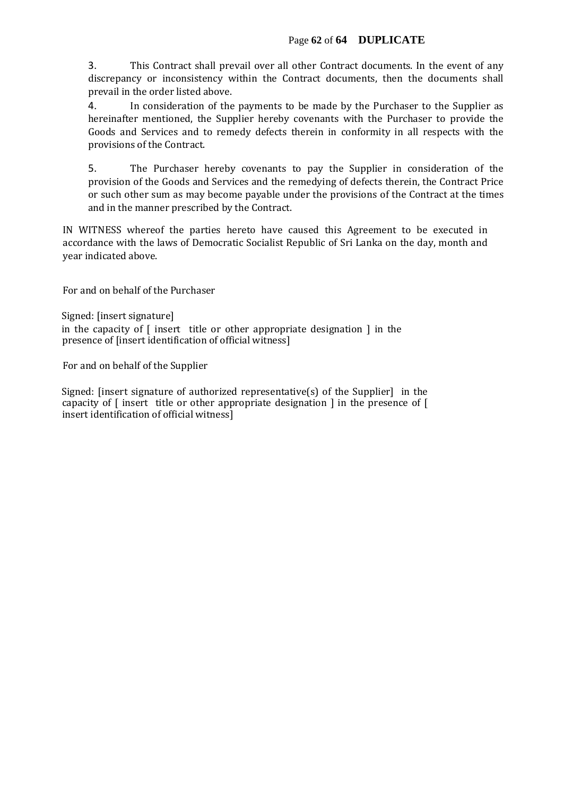3. This Contract shall prevail over all other Contract documents. In the event of any discrepancy or inconsistency within the Contract documents, then the documents shall prevail in the order listed above.

4. In consideration of the payments to be made by the Purchaser to the Supplier as hereinafter mentioned, the Supplier hereby covenants with the Purchaser to provide the Goods and Services and to remedy defects therein in conformity in all respects with the provisions of the Contract.

5. The Purchaser hereby covenants to pay the Supplier in consideration of the provision of the Goods and Services and the remedying of defects therein, the Contract Price or such other sum as may become payable under the provisions of the Contract at the times and in the manner prescribed by the Contract.

IN WITNESS whereof the parties hereto have caused this Agreement to be executed in accordance with the laws of Democratic Socialist Republic of Sri Lanka on the day, month and year indicated above.

For and on behalf of the Purchaser

Signed: [insert signature] in the capacity of  $\lceil$  insert title or other appropriate designation  $\lceil$  in the presence of [insert identification of official witness]

For and on behalf of the Supplier

Signed: [insert signature of authorized representative(s) of the Supplier] in the capacity of [ insert title or other appropriate designation ] in the presence of [ insert identification of official witness]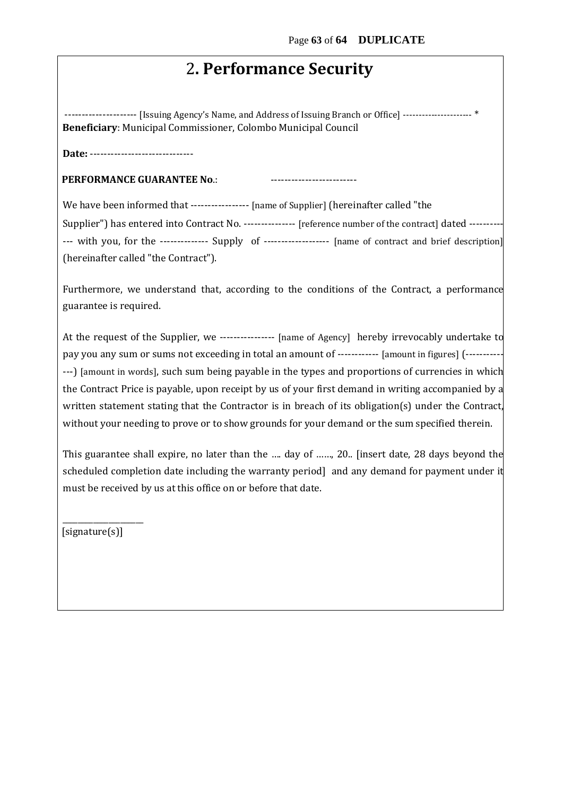### 2**. Performance Security**

--------------------- [Issuing Agency's Name, and Address of Issuing Branch or Office] ---------------------- \* **Beneficiary**: Municipal Commissioner, Colombo Municipal Council

**Date:** ------------------------------

**PERFORMANCE GUARANTEE No.:** 

We have been informed that ----------------- [name of Supplier] (hereinafter called "the

Supplier") has entered into Contract No. --------------- [reference number of the contract] dated ---------- --- with you, for the -------------- Supply of ------------------- [name of contract and brief description] (hereinafter called "the Contract").

Furthermore, we understand that, according to the conditions of the Contract, a performance guarantee is required.

At the request of the Supplier, we ---------------- [name of Agency] hereby irrevocably undertake to pay you any sum or sums not exceeding in total an amount of ------------ [amount in figures] (----------- ---) [amount in words], such sum being payable in the types and proportions of currencies in which the Contract Price is payable, upon receipt by us of your first demand in writing accompanied by a written statement stating that the Contractor is in breach of its obligation(s) under the Contract, without your needing to prove or to show grounds for your demand or the sum specified therein.

This guarantee shall expire, no later than the …. day of ……, 20.. [insert date, 28 days beyond the scheduled completion date including the warranty period] and any demand for payment under it must be received by us at this office on or before that date.

[signature(s)]

\_\_\_\_\_\_\_\_\_\_\_\_\_\_\_\_\_\_\_\_\_